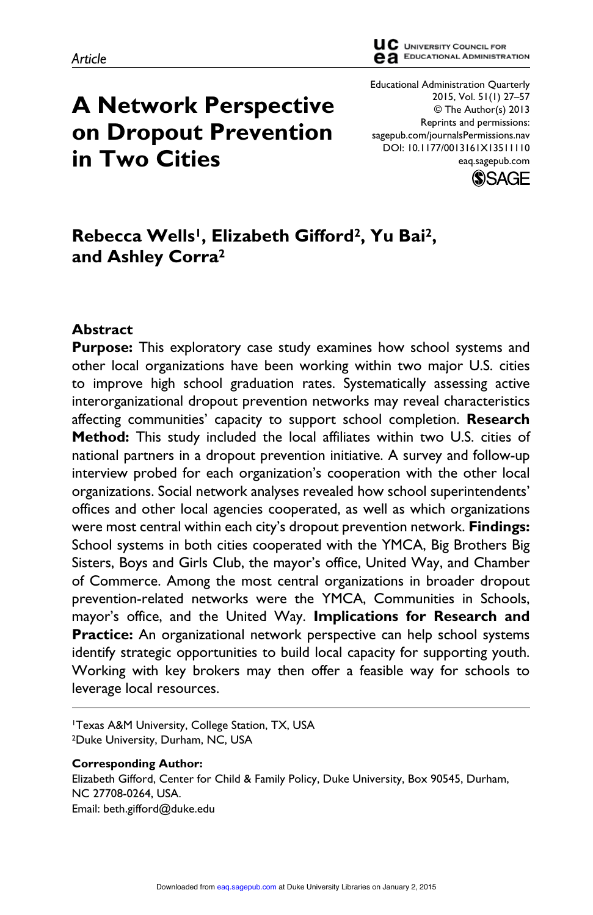# **A Network Perspective on Dropout Prevention in Two Cities**

Educational Administration Quarterly 2015, Vol. 51(1) 27–57 © The Author(s) 2013 Reprints and permissions: sagepub.com/journalsPermissions.nav DOI: 10.1177/0013161X13511110 eaq.sagepub.com



# Rebecca Wells<sup>1</sup>, Elizabeth Gifford<sup>2</sup>, Yu Bai<sup>2</sup>, **and Ashley Corra2**

### **Abstract**

**Purpose:** This exploratory case study examines how school systems and other local organizations have been working within two major U.S. cities to improve high school graduation rates. Systematically assessing active interorganizational dropout prevention networks may reveal characteristics affecting communities' capacity to support school completion. **Research Method:** This study included the local affiliates within two U.S. cities of national partners in a dropout prevention initiative. A survey and follow-up interview probed for each organization's cooperation with the other local organizations. Social network analyses revealed how school superintendents' offices and other local agencies cooperated, as well as which organizations were most central within each city's dropout prevention network. **Findings:** School systems in both cities cooperated with the YMCA, Big Brothers Big Sisters, Boys and Girls Club, the mayor's office, United Way, and Chamber of Commerce. Among the most central organizations in broader dropout prevention-related networks were the YMCA, Communities in Schools, mayor's office, and the United Way. **Implications for Research and Practice:** An organizational network perspective can help school systems identify strategic opportunities to build local capacity for supporting youth. Working with key brokers may then offer a feasible way for schools to leverage local resources.

1Texas A&M University, College Station, TX, USA 2Duke University, Durham, NC, USA

#### **Corresponding Author:**

Elizabeth Gifford, Center for Child & Family Policy, Duke University, Box 90545, Durham, NC 27708-0264, USA. Email: [beth.gifford@duke.edu](mailto:beth.gifford@duke.edu)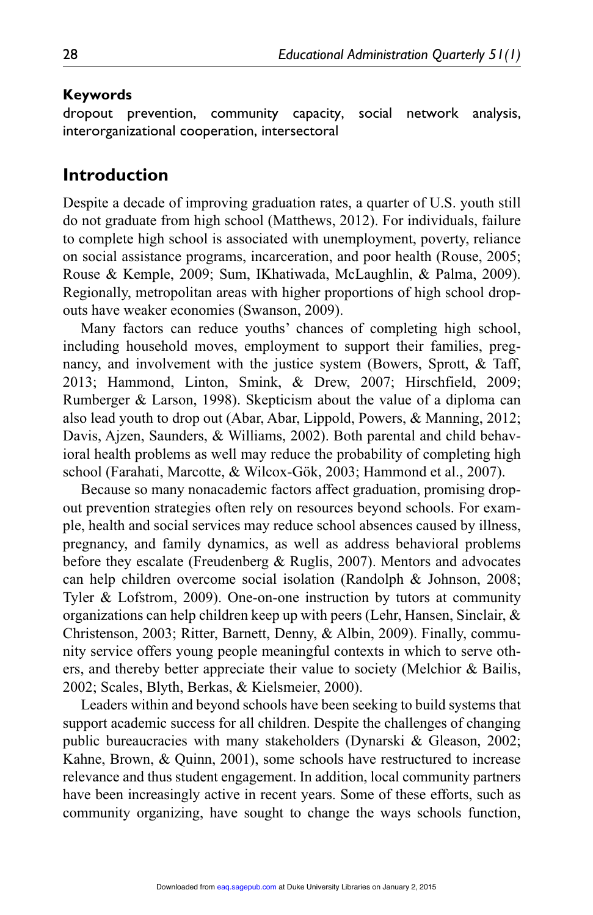#### **Keywords**

dropout prevention, community capacity, social network analysis, interorganizational cooperation, intersectoral

# **Introduction**

Despite a decade of improving graduation rates, a quarter of U.S. youth still do not graduate from high school (Matthews, 2012). For individuals, failure to complete high school is associated with unemployment, poverty, reliance on social assistance programs, incarceration, and poor health (Rouse, 2005; Rouse & Kemple, 2009; Sum, IKhatiwada, McLaughlin, & Palma, 2009). Regionally, metropolitan areas with higher proportions of high school dropouts have weaker economies (Swanson, 2009).

Many factors can reduce youths' chances of completing high school, including household moves, employment to support their families, pregnancy, and involvement with the justice system (Bowers, Sprott, & Taff, 2013; Hammond, Linton, Smink, & Drew, 2007; Hirschfield, 2009; Rumberger & Larson, 1998). Skepticism about the value of a diploma can also lead youth to drop out (Abar, Abar, Lippold, Powers, & Manning, 2012; Davis, Ajzen, Saunders, & Williams, 2002). Both parental and child behavioral health problems as well may reduce the probability of completing high school (Farahati, Marcotte, & Wilcox-Gök, 2003; Hammond et al., 2007).

Because so many nonacademic factors affect graduation, promising dropout prevention strategies often rely on resources beyond schools. For example, health and social services may reduce school absences caused by illness, pregnancy, and family dynamics, as well as address behavioral problems before they escalate (Freudenberg & Ruglis, 2007). Mentors and advocates can help children overcome social isolation (Randolph & Johnson, 2008; Tyler & Lofstrom, 2009). One-on-one instruction by tutors at community organizations can help children keep up with peers (Lehr, Hansen, Sinclair, & Christenson, 2003; Ritter, Barnett, Denny, & Albin, 2009). Finally, community service offers young people meaningful contexts in which to serve others, and thereby better appreciate their value to society (Melchior & Bailis, 2002; Scales, Blyth, Berkas, & Kielsmeier, 2000).

Leaders within and beyond schools have been seeking to build systems that support academic success for all children. Despite the challenges of changing public bureaucracies with many stakeholders (Dynarski & Gleason, 2002; Kahne, Brown, & Quinn, 2001), some schools have restructured to increase relevance and thus student engagement. In addition, local community partners have been increasingly active in recent years. Some of these efforts, such as community organizing, have sought to change the ways schools function,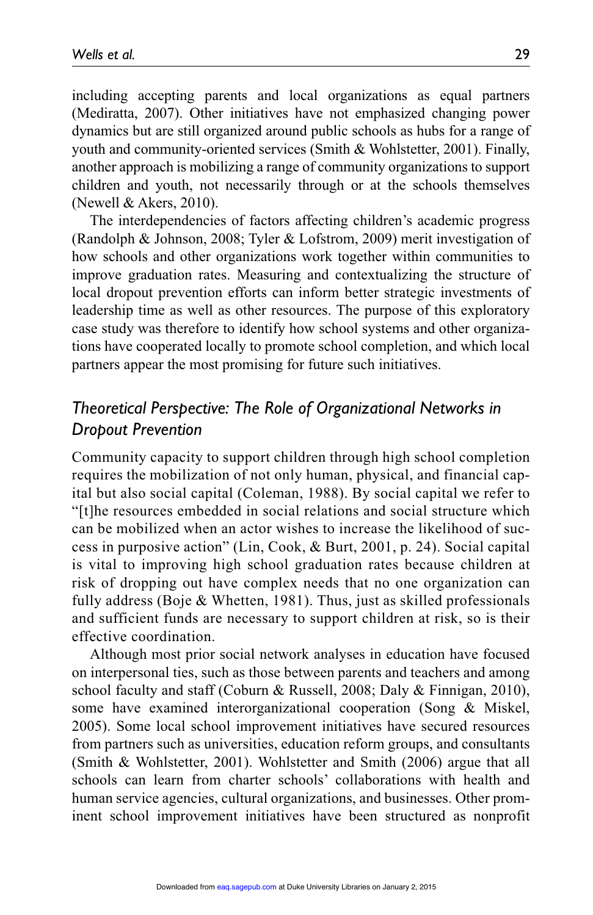including accepting parents and local organizations as equal partners (Mediratta, 2007). Other initiatives have not emphasized changing power dynamics but are still organized around public schools as hubs for a range of youth and community-oriented services (Smith & Wohlstetter, 2001). Finally, another approach is mobilizing a range of community organizations to support children and youth, not necessarily through or at the schools themselves (Newell & Akers, 2010).

The interdependencies of factors affecting children's academic progress (Randolph & Johnson, 2008; Tyler & Lofstrom, 2009) merit investigation of how schools and other organizations work together within communities to improve graduation rates. Measuring and contextualizing the structure of local dropout prevention efforts can inform better strategic investments of leadership time as well as other resources. The purpose of this exploratory case study was therefore to identify how school systems and other organizations have cooperated locally to promote school completion, and which local partners appear the most promising for future such initiatives.

# *Theoretical Perspective: The Role of Organizational Networks in Dropout Prevention*

Community capacity to support children through high school completion requires the mobilization of not only human, physical, and financial capital but also social capital (Coleman, 1988). By social capital we refer to "[t]he resources embedded in social relations and social structure which can be mobilized when an actor wishes to increase the likelihood of success in purposive action" (Lin, Cook, & Burt, 2001, p. 24). Social capital is vital to improving high school graduation rates because children at risk of dropping out have complex needs that no one organization can fully address (Boje & Whetten, 1981). Thus, just as skilled professionals and sufficient funds are necessary to support children at risk, so is their effective coordination.

Although most prior social network analyses in education have focused on interpersonal ties, such as those between parents and teachers and among school faculty and staff (Coburn & Russell, 2008; Daly & Finnigan, 2010), some have examined interorganizational cooperation (Song & Miskel, 2005). Some local school improvement initiatives have secured resources from partners such as universities, education reform groups, and consultants (Smith & Wohlstetter, 2001). Wohlstetter and Smith (2006) argue that all schools can learn from charter schools' collaborations with health and human service agencies, cultural organizations, and businesses. Other prominent school improvement initiatives have been structured as nonprofit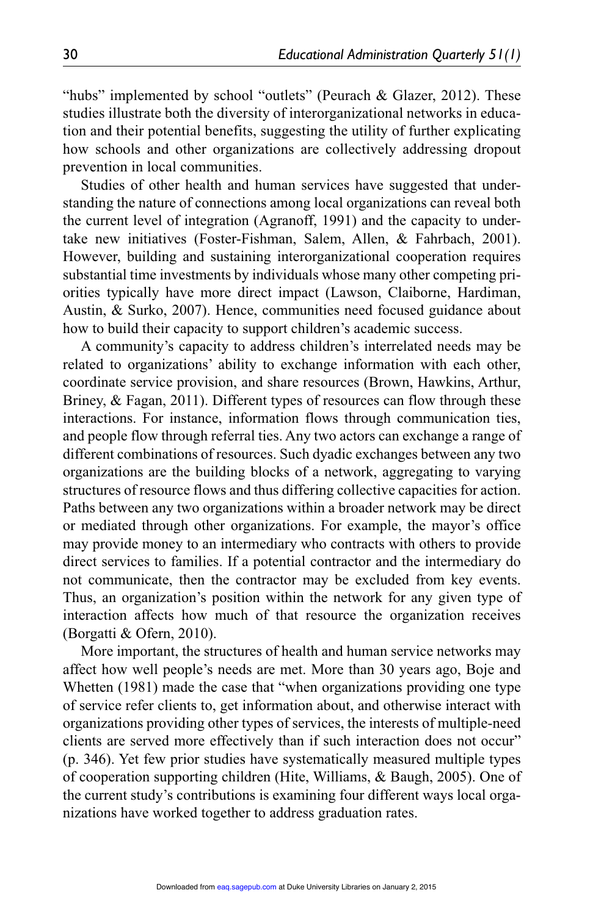"hubs" implemented by school "outlets" (Peurach & Glazer, 2012). These studies illustrate both the diversity of interorganizational networks in education and their potential benefits, suggesting the utility of further explicating how schools and other organizations are collectively addressing dropout prevention in local communities.

Studies of other health and human services have suggested that understanding the nature of connections among local organizations can reveal both the current level of integration (Agranoff, 1991) and the capacity to undertake new initiatives (Foster-Fishman, Salem, Allen, & Fahrbach, 2001). However, building and sustaining interorganizational cooperation requires substantial time investments by individuals whose many other competing priorities typically have more direct impact (Lawson, Claiborne, Hardiman, Austin, & Surko, 2007). Hence, communities need focused guidance about how to build their capacity to support children's academic success.

A community's capacity to address children's interrelated needs may be related to organizations' ability to exchange information with each other, coordinate service provision, and share resources (Brown, Hawkins, Arthur, Briney, & Fagan, 2011). Different types of resources can flow through these interactions. For instance, information flows through communication ties, and people flow through referral ties. Any two actors can exchange a range of different combinations of resources. Such dyadic exchanges between any two organizations are the building blocks of a network, aggregating to varying structures of resource flows and thus differing collective capacities for action. Paths between any two organizations within a broader network may be direct or mediated through other organizations. For example, the mayor's office may provide money to an intermediary who contracts with others to provide direct services to families. If a potential contractor and the intermediary do not communicate, then the contractor may be excluded from key events. Thus, an organization's position within the network for any given type of interaction affects how much of that resource the organization receives (Borgatti & Ofern, 2010).

More important, the structures of health and human service networks may affect how well people's needs are met. More than 30 years ago, Boje and Whetten (1981) made the case that "when organizations providing one type of service refer clients to, get information about, and otherwise interact with organizations providing other types of services, the interests of multiple-need clients are served more effectively than if such interaction does not occur" (p. 346). Yet few prior studies have systematically measured multiple types of cooperation supporting children (Hite, Williams, & Baugh, 2005). One of the current study's contributions is examining four different ways local organizations have worked together to address graduation rates.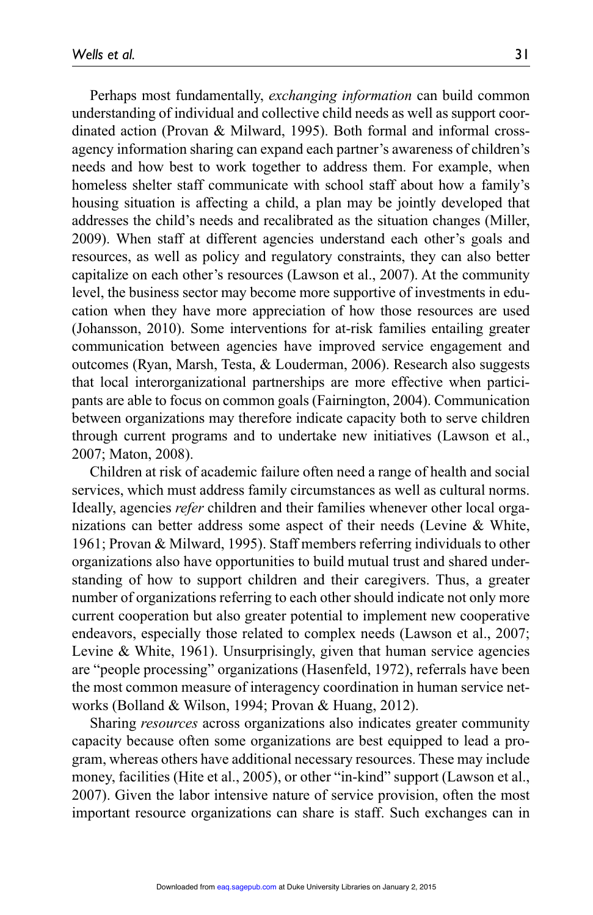Perhaps most fundamentally, *exchanging information* can build common understanding of individual and collective child needs as well as support coordinated action (Provan & Milward, 1995). Both formal and informal crossagency information sharing can expand each partner's awareness of children's needs and how best to work together to address them. For example, when homeless shelter staff communicate with school staff about how a family's housing situation is affecting a child, a plan may be jointly developed that addresses the child's needs and recalibrated as the situation changes (Miller, 2009). When staff at different agencies understand each other's goals and resources, as well as policy and regulatory constraints, they can also better capitalize on each other's resources (Lawson et al., 2007). At the community level, the business sector may become more supportive of investments in education when they have more appreciation of how those resources are used (Johansson, 2010). Some interventions for at-risk families entailing greater communication between agencies have improved service engagement and outcomes (Ryan, Marsh, Testa, & Louderman, 2006). Research also suggests that local interorganizational partnerships are more effective when participants are able to focus on common goals (Fairnington, 2004). Communication between organizations may therefore indicate capacity both to serve children through current programs and to undertake new initiatives (Lawson et al., 2007; Maton, 2008).

Children at risk of academic failure often need a range of health and social services, which must address family circumstances as well as cultural norms. Ideally, agencies *refer* children and their families whenever other local organizations can better address some aspect of their needs (Levine & White, 1961; Provan & Milward, 1995). Staff members referring individuals to other organizations also have opportunities to build mutual trust and shared understanding of how to support children and their caregivers. Thus, a greater number of organizations referring to each other should indicate not only more current cooperation but also greater potential to implement new cooperative endeavors, especially those related to complex needs (Lawson et al., 2007; Levine & White, 1961). Unsurprisingly, given that human service agencies are "people processing" organizations (Hasenfeld, 1972), referrals have been the most common measure of interagency coordination in human service networks (Bolland & Wilson, 1994; Provan & Huang, 2012).

Sharing *resources* across organizations also indicates greater community capacity because often some organizations are best equipped to lead a program, whereas others have additional necessary resources. These may include money, facilities (Hite et al., 2005), or other "in-kind" support (Lawson et al., 2007). Given the labor intensive nature of service provision, often the most important resource organizations can share is staff. Such exchanges can in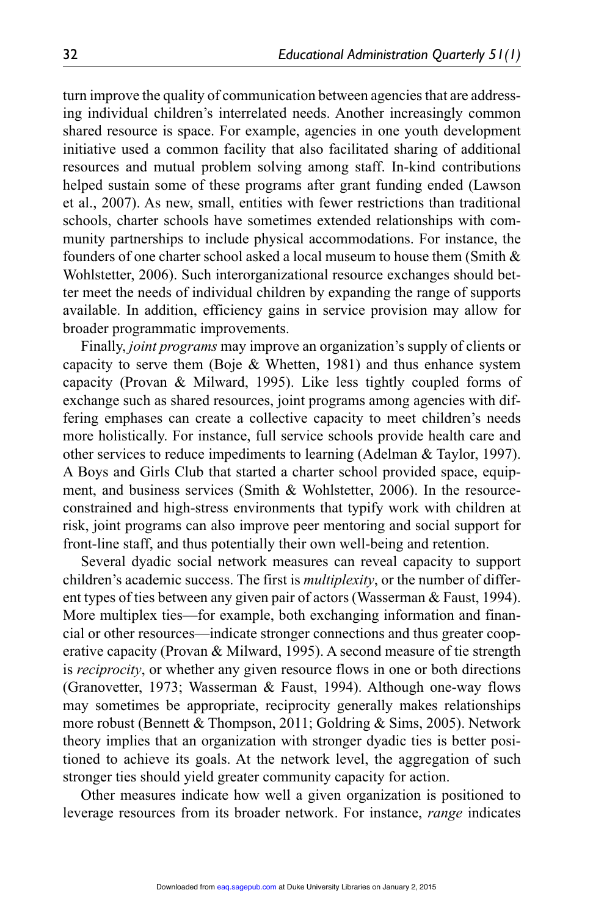turn improve the quality of communication between agencies that are addressing individual children's interrelated needs. Another increasingly common shared resource is space. For example, agencies in one youth development initiative used a common facility that also facilitated sharing of additional resources and mutual problem solving among staff. In-kind contributions helped sustain some of these programs after grant funding ended (Lawson et al., 2007). As new, small, entities with fewer restrictions than traditional schools, charter schools have sometimes extended relationships with community partnerships to include physical accommodations. For instance, the founders of one charter school asked a local museum to house them (Smith & Wohlstetter, 2006). Such interorganizational resource exchanges should better meet the needs of individual children by expanding the range of supports available. In addition, efficiency gains in service provision may allow for broader programmatic improvements.

Finally, *joint programs* may improve an organization's supply of clients or capacity to serve them (Boje  $&$  Whetten, 1981) and thus enhance system capacity (Provan & Milward, 1995). Like less tightly coupled forms of exchange such as shared resources, joint programs among agencies with differing emphases can create a collective capacity to meet children's needs more holistically. For instance, full service schools provide health care and other services to reduce impediments to learning (Adelman & Taylor, 1997). A Boys and Girls Club that started a charter school provided space, equipment, and business services (Smith & Wohlstetter, 2006). In the resourceconstrained and high-stress environments that typify work with children at risk, joint programs can also improve peer mentoring and social support for front-line staff, and thus potentially their own well-being and retention.

Several dyadic social network measures can reveal capacity to support children's academic success. The first is *multiplexity*, or the number of different types of ties between any given pair of actors (Wasserman & Faust, 1994). More multiplex ties—for example, both exchanging information and financial or other resources—indicate stronger connections and thus greater cooperative capacity (Provan & Milward, 1995). A second measure of tie strength is *reciprocity*, or whether any given resource flows in one or both directions (Granovetter, 1973; Wasserman & Faust, 1994). Although one-way flows may sometimes be appropriate, reciprocity generally makes relationships more robust (Bennett & Thompson, 2011; Goldring & Sims, 2005). Network theory implies that an organization with stronger dyadic ties is better positioned to achieve its goals. At the network level, the aggregation of such stronger ties should yield greater community capacity for action.

Other measures indicate how well a given organization is positioned to leverage resources from its broader network. For instance, *range* indicates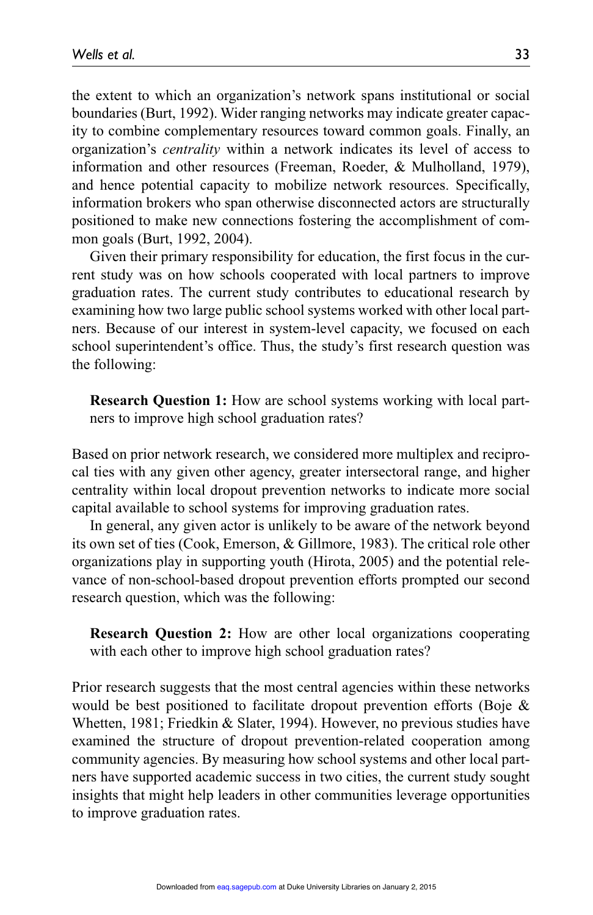the extent to which an organization's network spans institutional or social boundaries (Burt, 1992). Wider ranging networks may indicate greater capacity to combine complementary resources toward common goals. Finally, an organization's *centrality* within a network indicates its level of access to information and other resources (Freeman, Roeder, & Mulholland, 1979), and hence potential capacity to mobilize network resources. Specifically, information brokers who span otherwise disconnected actors are structurally positioned to make new connections fostering the accomplishment of common goals (Burt, 1992, 2004).

Given their primary responsibility for education, the first focus in the current study was on how schools cooperated with local partners to improve graduation rates. The current study contributes to educational research by examining how two large public school systems worked with other local partners. Because of our interest in system-level capacity, we focused on each school superintendent's office. Thus, the study's first research question was the following:

**Research Question 1:** How are school systems working with local partners to improve high school graduation rates?

Based on prior network research, we considered more multiplex and reciprocal ties with any given other agency, greater intersectoral range, and higher centrality within local dropout prevention networks to indicate more social capital available to school systems for improving graduation rates.

In general, any given actor is unlikely to be aware of the network beyond its own set of ties (Cook, Emerson, & Gillmore, 1983). The critical role other organizations play in supporting youth (Hirota, 2005) and the potential relevance of non-school-based dropout prevention efforts prompted our second research question, which was the following:

**Research Question 2:** How are other local organizations cooperating with each other to improve high school graduation rates?

Prior research suggests that the most central agencies within these networks would be best positioned to facilitate dropout prevention efforts (Boje & Whetten, 1981; Friedkin & Slater, 1994). However, no previous studies have examined the structure of dropout prevention-related cooperation among community agencies. By measuring how school systems and other local partners have supported academic success in two cities, the current study sought insights that might help leaders in other communities leverage opportunities to improve graduation rates.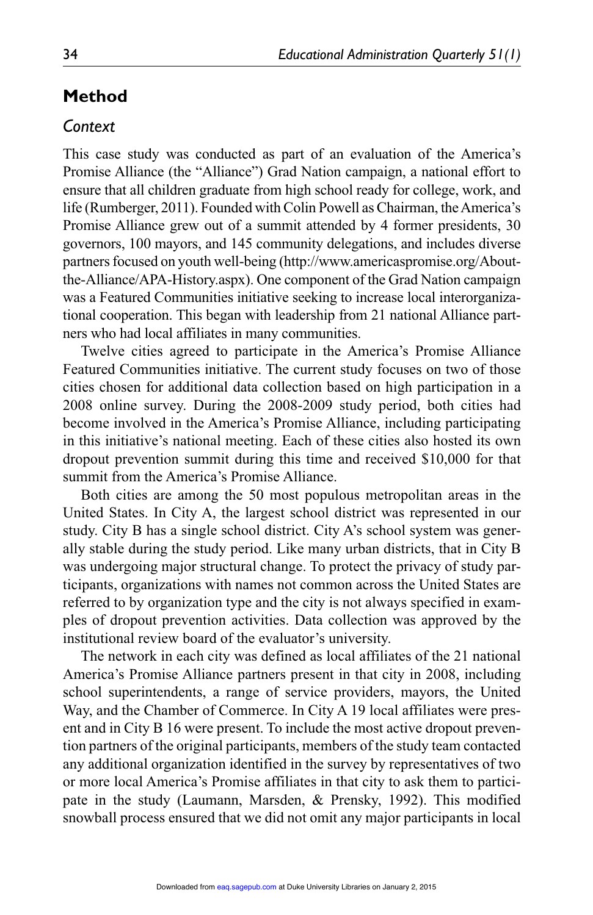### **Method**

### *Context*

This case study was conducted as part of an evaluation of the America's Promise Alliance (the "Alliance") Grad Nation campaign, a national effort to ensure that all children graduate from high school ready for college, work, and life (Rumberger, 2011). Founded with Colin Powell as Chairman, the America's Promise Alliance grew out of a summit attended by 4 former presidents, 30 governors, 100 mayors, and 145 community delegations, and includes diverse partners focused on youth well-being ([http://www.americaspromise.org/About](http://www.americaspromise.org/About-the-Alliance/APA-History.aspx)[the-Alliance/APA-History.aspx\)](http://www.americaspromise.org/About-the-Alliance/APA-History.aspx). One component of the Grad Nation campaign was a Featured Communities initiative seeking to increase local interorganizational cooperation. This began with leadership from 21 national Alliance partners who had local affiliates in many communities.

Twelve cities agreed to participate in the America's Promise Alliance Featured Communities initiative. The current study focuses on two of those cities chosen for additional data collection based on high participation in a 2008 online survey. During the 2008-2009 study period, both cities had become involved in the America's Promise Alliance, including participating in this initiative's national meeting. Each of these cities also hosted its own dropout prevention summit during this time and received \$10,000 for that summit from the America's Promise Alliance.

Both cities are among the 50 most populous metropolitan areas in the United States. In City A, the largest school district was represented in our study. City B has a single school district. City A's school system was generally stable during the study period. Like many urban districts, that in City B was undergoing major structural change. To protect the privacy of study participants, organizations with names not common across the United States are referred to by organization type and the city is not always specified in examples of dropout prevention activities. Data collection was approved by the institutional review board of the evaluator's university.

The network in each city was defined as local affiliates of the 21 national America's Promise Alliance partners present in that city in 2008, including school superintendents, a range of service providers, mayors, the United Way, and the Chamber of Commerce. In City A 19 local affiliates were present and in City B 16 were present. To include the most active dropout prevention partners of the original participants, members of the study team contacted any additional organization identified in the survey by representatives of two or more local America's Promise affiliates in that city to ask them to participate in the study (Laumann, Marsden, & Prensky, 1992). This modified snowball process ensured that we did not omit any major participants in local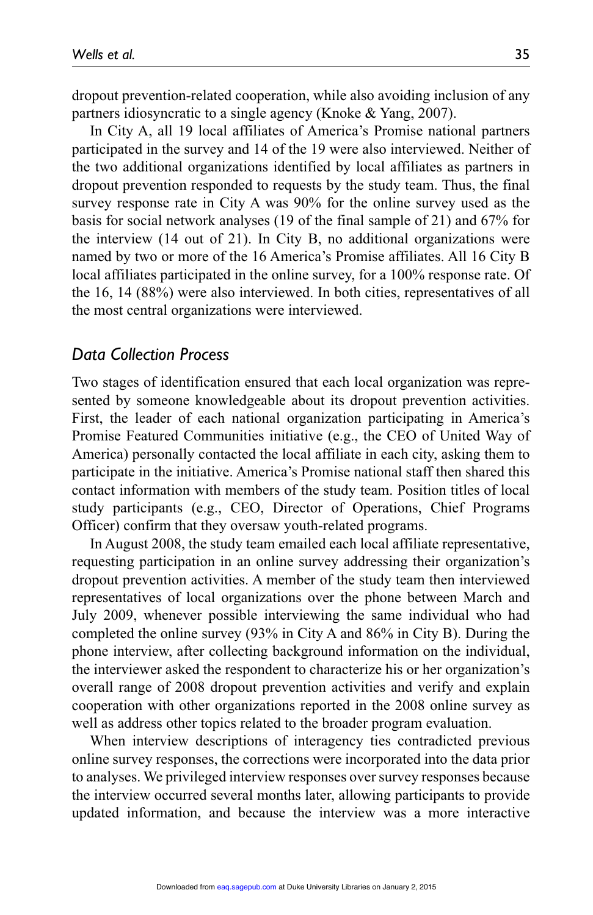dropout prevention-related cooperation, while also avoiding inclusion of any partners idiosyncratic to a single agency (Knoke & Yang, 2007).

In City A, all 19 local affiliates of America's Promise national partners participated in the survey and 14 of the 19 were also interviewed. Neither of the two additional organizations identified by local affiliates as partners in dropout prevention responded to requests by the study team. Thus, the final survey response rate in City A was 90% for the online survey used as the basis for social network analyses (19 of the final sample of 21) and 67% for the interview (14 out of 21). In City B, no additional organizations were named by two or more of the 16 America's Promise affiliates. All 16 City B local affiliates participated in the online survey, for a 100% response rate. Of the 16, 14 (88%) were also interviewed. In both cities, representatives of all the most central organizations were interviewed.

#### *Data Collection Process*

Two stages of identification ensured that each local organization was represented by someone knowledgeable about its dropout prevention activities. First, the leader of each national organization participating in America's Promise Featured Communities initiative (e.g., the CEO of United Way of America) personally contacted the local affiliate in each city, asking them to participate in the initiative. America's Promise national staff then shared this contact information with members of the study team. Position titles of local study participants (e.g., CEO, Director of Operations, Chief Programs Officer) confirm that they oversaw youth-related programs.

In August 2008, the study team emailed each local affiliate representative, requesting participation in an online survey addressing their organization's dropout prevention activities. A member of the study team then interviewed representatives of local organizations over the phone between March and July 2009, whenever possible interviewing the same individual who had completed the online survey (93% in City A and 86% in City B). During the phone interview, after collecting background information on the individual, the interviewer asked the respondent to characterize his or her organization's overall range of 2008 dropout prevention activities and verify and explain cooperation with other organizations reported in the 2008 online survey as well as address other topics related to the broader program evaluation.

When interview descriptions of interagency ties contradicted previous online survey responses, the corrections were incorporated into the data prior to analyses. We privileged interview responses over survey responses because the interview occurred several months later, allowing participants to provide updated information, and because the interview was a more interactive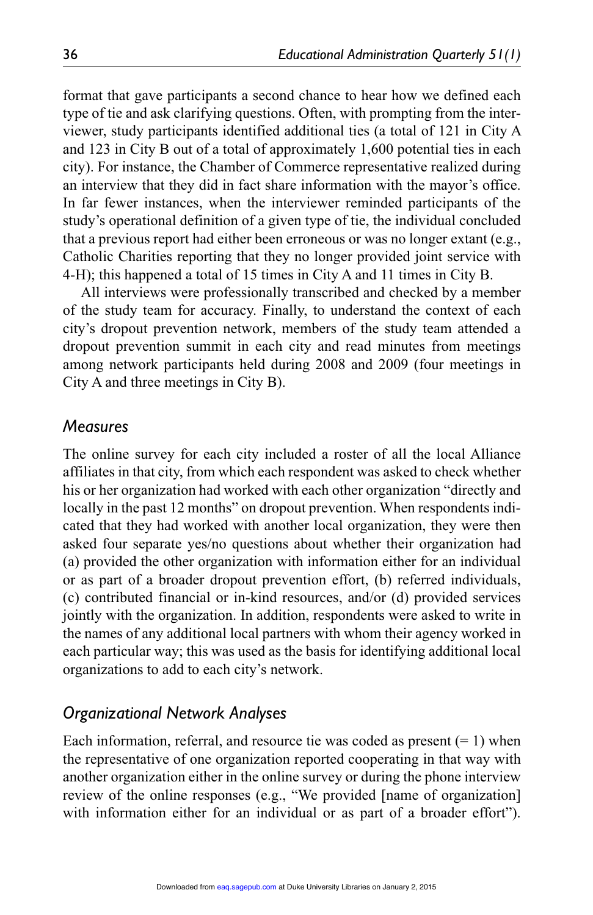format that gave participants a second chance to hear how we defined each type of tie and ask clarifying questions. Often, with prompting from the interviewer, study participants identified additional ties (a total of 121 in City A and 123 in City B out of a total of approximately 1,600 potential ties in each city). For instance, the Chamber of Commerce representative realized during an interview that they did in fact share information with the mayor's office. In far fewer instances, when the interviewer reminded participants of the study's operational definition of a given type of tie, the individual concluded that a previous report had either been erroneous or was no longer extant (e.g., Catholic Charities reporting that they no longer provided joint service with 4-H); this happened a total of 15 times in City A and 11 times in City B.

All interviews were professionally transcribed and checked by a member of the study team for accuracy. Finally, to understand the context of each city's dropout prevention network, members of the study team attended a dropout prevention summit in each city and read minutes from meetings among network participants held during 2008 and 2009 (four meetings in City A and three meetings in City B).

### *Measures*

The online survey for each city included a roster of all the local Alliance affiliates in that city, from which each respondent was asked to check whether his or her organization had worked with each other organization "directly and locally in the past 12 months" on dropout prevention. When respondents indicated that they had worked with another local organization, they were then asked four separate yes/no questions about whether their organization had (a) provided the other organization with information either for an individual or as part of a broader dropout prevention effort, (b) referred individuals, (c) contributed financial or in-kind resources, and/or (d) provided services jointly with the organization. In addition, respondents were asked to write in the names of any additional local partners with whom their agency worked in each particular way; this was used as the basis for identifying additional local organizations to add to each city's network.

### *Organizational Network Analyses*

Each information, referral, and resource tie was coded as present  $(= 1)$  when the representative of one organization reported cooperating in that way with another organization either in the online survey or during the phone interview review of the online responses (e.g., "We provided [name of organization] with information either for an individual or as part of a broader effort").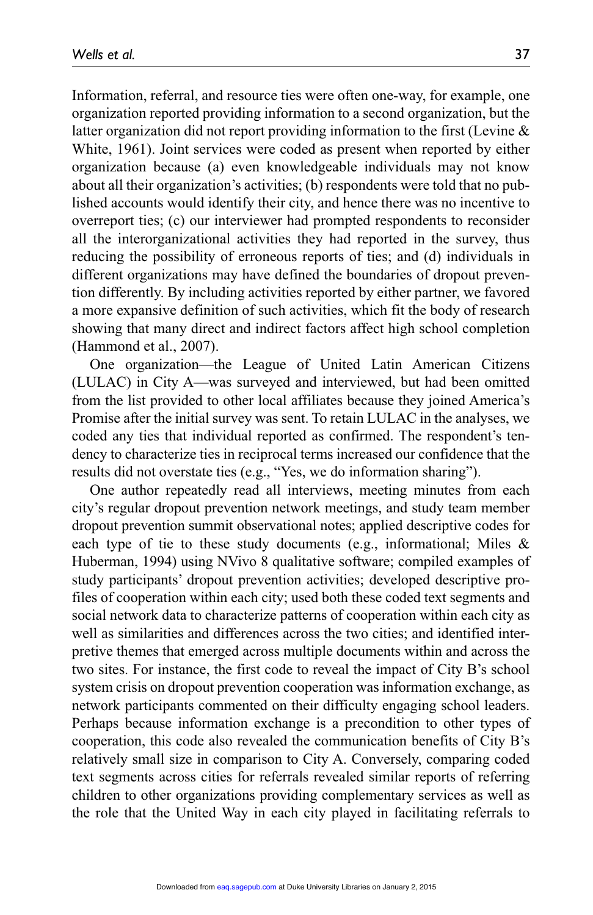Information, referral, and resource ties were often one-way, for example, one organization reported providing information to a second organization, but the latter organization did not report providing information to the first (Levine & White, 1961). Joint services were coded as present when reported by either organization because (a) even knowledgeable individuals may not know about all their organization's activities; (b) respondents were told that no published accounts would identify their city, and hence there was no incentive to overreport ties; (c) our interviewer had prompted respondents to reconsider all the interorganizational activities they had reported in the survey, thus reducing the possibility of erroneous reports of ties; and (d) individuals in different organizations may have defined the boundaries of dropout prevention differently. By including activities reported by either partner, we favored a more expansive definition of such activities, which fit the body of research showing that many direct and indirect factors affect high school completion (Hammond et al., 2007).

One organization—the League of United Latin American Citizens (LULAC) in City A—was surveyed and interviewed, but had been omitted from the list provided to other local affiliates because they joined America's Promise after the initial survey was sent. To retain LULAC in the analyses, we coded any ties that individual reported as confirmed. The respondent's tendency to characterize ties in reciprocal terms increased our confidence that the results did not overstate ties (e.g., "Yes, we do information sharing").

One author repeatedly read all interviews, meeting minutes from each city's regular dropout prevention network meetings, and study team member dropout prevention summit observational notes; applied descriptive codes for each type of tie to these study documents (e.g., informational; Miles & Huberman, 1994) using NVivo 8 qualitative software; compiled examples of study participants' dropout prevention activities; developed descriptive profiles of cooperation within each city; used both these coded text segments and social network data to characterize patterns of cooperation within each city as well as similarities and differences across the two cities; and identified interpretive themes that emerged across multiple documents within and across the two sites. For instance, the first code to reveal the impact of City B's school system crisis on dropout prevention cooperation was information exchange, as network participants commented on their difficulty engaging school leaders. Perhaps because information exchange is a precondition to other types of cooperation, this code also revealed the communication benefits of City B's relatively small size in comparison to City A. Conversely, comparing coded text segments across cities for referrals revealed similar reports of referring children to other organizations providing complementary services as well as the role that the United Way in each city played in facilitating referrals to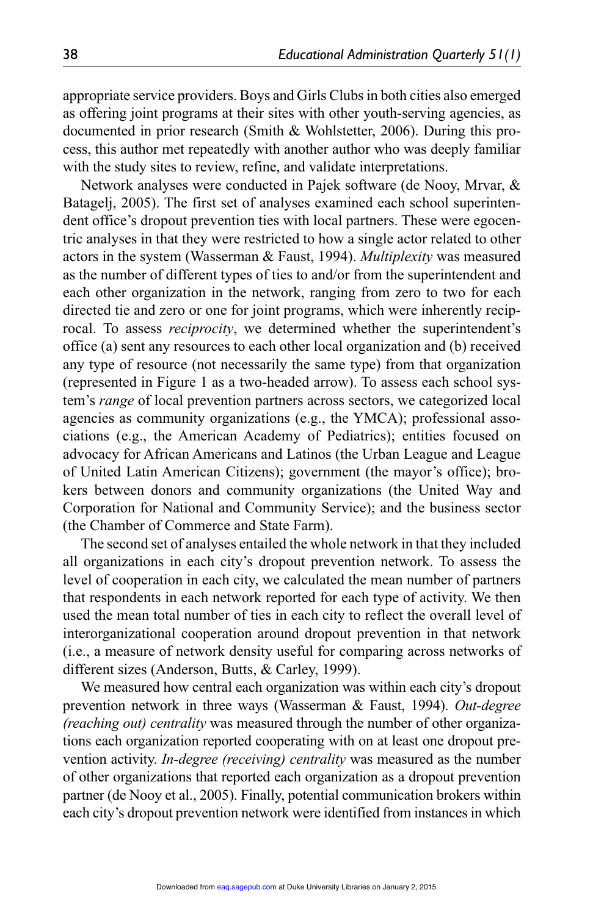appropriate service providers. Boys and Girls Clubs in both cities also emerged as offering joint programs at their sites with other youth-serving agencies, as documented in prior research (Smith & Wohlstetter, 2006). During this process, this author met repeatedly with another author who was deeply familiar with the study sites to review, refine, and validate interpretations.

Network analyses were conducted in Pajek software (de Nooy, Mrvar, & Batagelj, 2005). The first set of analyses examined each school superintendent office's dropout prevention ties with local partners. These were egocentric analyses in that they were restricted to how a single actor related to other actors in the system (Wasserman & Faust, 1994). *Multiplexity* was measured as the number of different types of ties to and/or from the superintendent and each other organization in the network, ranging from zero to two for each directed tie and zero or one for joint programs, which were inherently reciprocal. To assess *reciprocity*, we determined whether the superintendent's office (a) sent any resources to each other local organization and (b) received any type of resource (not necessarily the same type) from that organization (represented in Figure 1 as a two-headed arrow). To assess each school system's *range* of local prevention partners across sectors, we categorized local agencies as community organizations (e.g., the YMCA); professional associations (e.g., the American Academy of Pediatrics); entities focused on advocacy for African Americans and Latinos (the Urban League and League of United Latin American Citizens); government (the mayor's office); brokers between donors and community organizations (the United Way and Corporation for National and Community Service); and the business sector (the Chamber of Commerce and State Farm).

The second set of analyses entailed the whole network in that they included all organizations in each city's dropout prevention network. To assess the level of cooperation in each city, we calculated the mean number of partners that respondents in each network reported for each type of activity. We then used the mean total number of ties in each city to reflect the overall level of interorganizational cooperation around dropout prevention in that network (i.e., a measure of network density useful for comparing across networks of different sizes (Anderson, Butts, & Carley, 1999).

We measured how central each organization was within each city's dropout prevention network in three ways (Wasserman & Faust, 1994). *Out-degree (reaching out) centrality* was measured through the number of other organizations each organization reported cooperating with on at least one dropout prevention activity. *In-degree (receiving) centrality* was measured as the number of other organizations that reported each organization as a dropout prevention partner (de Nooy et al., 2005). Finally, potential communication brokers within each city's dropout prevention network were identified from instances in which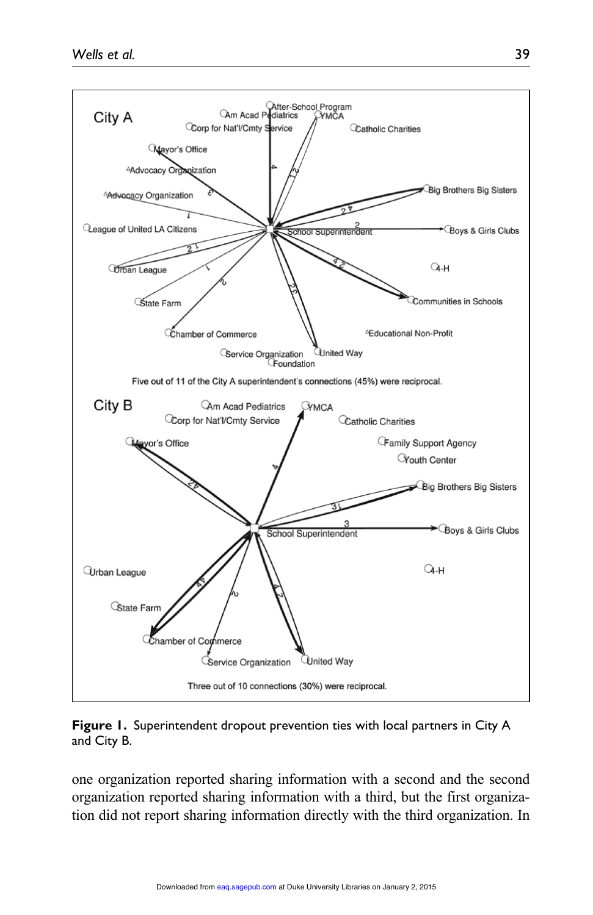

**Figure 1.** Superintendent dropout prevention ties with local partners in City A and City B.

one organization reported sharing information with a second and the second organization reported sharing information with a third, but the first organization did not report sharing information directly with the third organization. In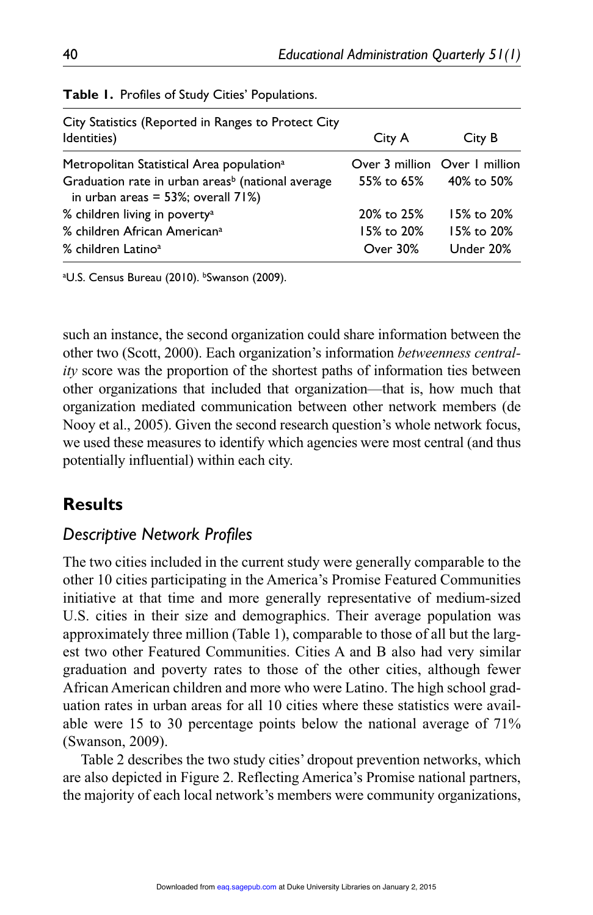| City Statistics (Reported in Ranges to Protect City<br>Identities)                                          | City A                        | City B                  |
|-------------------------------------------------------------------------------------------------------------|-------------------------------|-------------------------|
| Metropolitan Statistical Area population <sup>a</sup>                                                       | Over 3 million Over 1 million |                         |
| Graduation rate in urban areas <sup>b</sup> (national average<br>in urban areas = $53\%$ ; overall $71\%$ ) | 55% to 65%                    | 40% to 50%              |
| % children living in poverty <sup>a</sup>                                                                   | 20% to 25%                    | 15% to 20%              |
| % children African American <sup>a</sup><br>% children Latino <sup>a</sup>                                  | 15% to 20%<br>Over 30%        | 15% to 20%<br>Under 20% |

aU.S. Census Bureau (2010). **bSwanson (2009).** 

such an instance, the second organization could share information between the other two (Scott, 2000). Each organization's information *betweenness centrality* score was the proportion of the shortest paths of information ties between other organizations that included that organization—that is, how much that organization mediated communication between other network members (de Nooy et al., 2005). Given the second research question's whole network focus, we used these measures to identify which agencies were most central (and thus potentially influential) within each city.

### **Results**

### *Descriptive Network Profiles*

The two cities included in the current study were generally comparable to the other 10 cities participating in the America's Promise Featured Communities initiative at that time and more generally representative of medium-sized U.S. cities in their size and demographics. Their average population was approximately three million (Table 1), comparable to those of all but the largest two other Featured Communities. Cities A and B also had very similar graduation and poverty rates to those of the other cities, although fewer African American children and more who were Latino. The high school graduation rates in urban areas for all 10 cities where these statistics were available were 15 to 30 percentage points below the national average of 71% (Swanson, 2009).

Table 2 describes the two study cities' dropout prevention networks, which are also depicted in Figure 2. Reflecting America's Promise national partners, the majority of each local network's members were community organizations,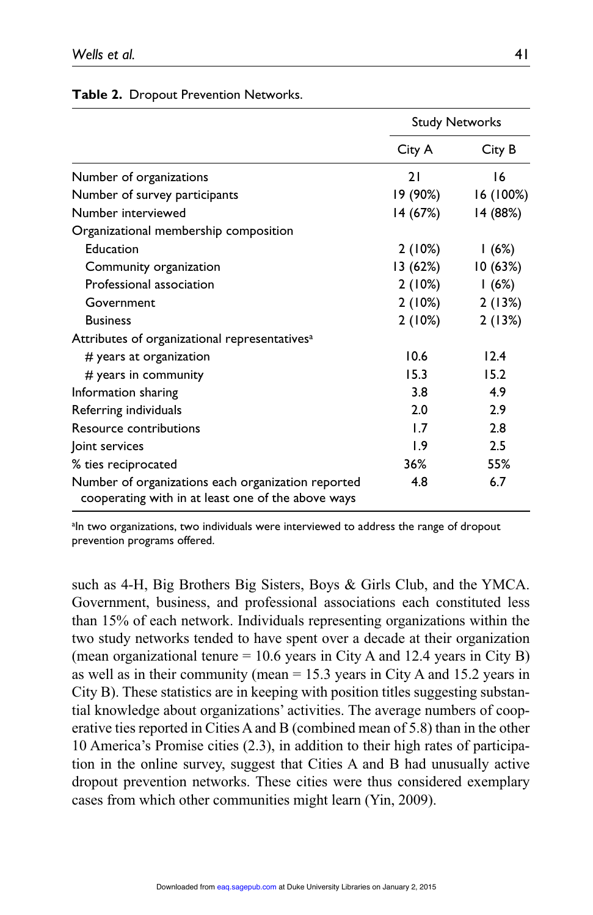|                                                                                                          |          | <b>Study Networks</b> |
|----------------------------------------------------------------------------------------------------------|----------|-----------------------|
|                                                                                                          | City A   | City B                |
| Number of organizations                                                                                  | 21       | 16                    |
| Number of survey participants                                                                            | 19 (90%) | 16 (100%)             |
| Number interviewed                                                                                       | 14 (67%) | 14 (88%)              |
| Organizational membership composition                                                                    |          |                       |
| Education                                                                                                | 2 (10%)  | 1(6%)                 |
| Community organization                                                                                   | I3 (62%) | 10(63%)               |
| Professional association                                                                                 | 2 (10%)  | 1(6%)                 |
| Government                                                                                               | 2 (10%)  | 2(13%)                |
| <b>Business</b>                                                                                          | 2 (10%)  | 2(13%)                |
| Attributes of organizational representatives <sup>a</sup>                                                |          |                       |
| # years at organization                                                                                  | 10.6     | 12.4                  |
| # years in community                                                                                     | 15.3     | 15.2                  |
| Information sharing                                                                                      | 3.8      | 4.9                   |
| Referring individuals                                                                                    | 2.0      | 2.9                   |
| Resource contributions                                                                                   | 1.7      | 2.8                   |
| oint services                                                                                            | 1.9      | 2.5                   |
| % ties reciprocated                                                                                      | 36%      | 55%                   |
| Number of organizations each organization reported<br>cooperating with in at least one of the above ways | 4.8      | 6.7                   |

#### **Table 2.** Dropout Prevention Networks.

aln two organizations, two individuals were interviewed to address the range of dropout prevention programs offered.

such as 4-H, Big Brothers Big Sisters, Boys & Girls Club, and the YMCA. Government, business, and professional associations each constituted less than 15% of each network. Individuals representing organizations within the two study networks tended to have spent over a decade at their organization (mean organizational tenure  $= 10.6$  years in City A and 12.4 years in City B) as well as in their community (mean = 15.3 years in City A and 15.2 years in City B). These statistics are in keeping with position titles suggesting substantial knowledge about organizations' activities. The average numbers of cooperative ties reported in Cities A and B (combined mean of 5.8) than in the other 10 America's Promise cities (2.3), in addition to their high rates of participation in the online survey, suggest that Cities A and B had unusually active dropout prevention networks. These cities were thus considered exemplary cases from which other communities might learn (Yin, 2009).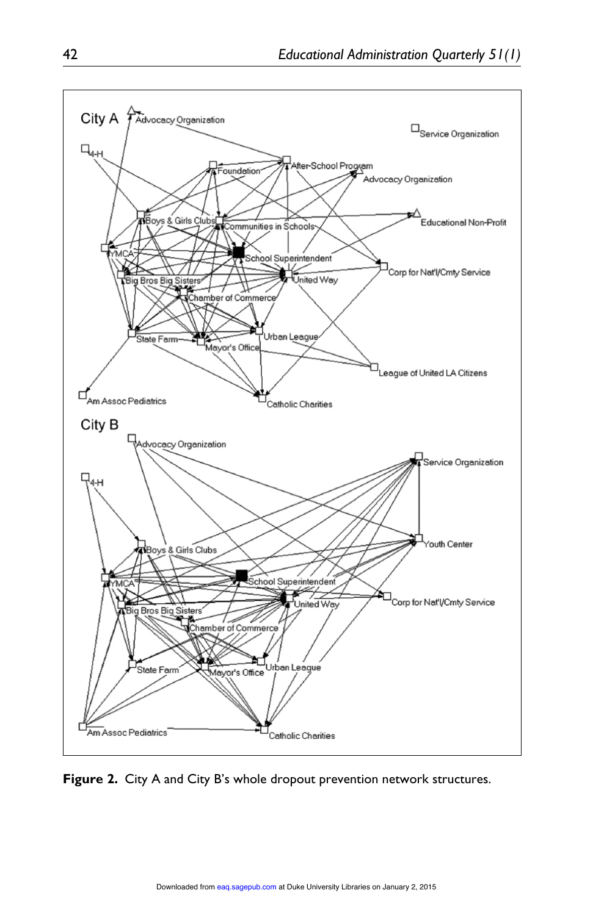

**Figure 2.** City A and City B's whole dropout prevention network structures.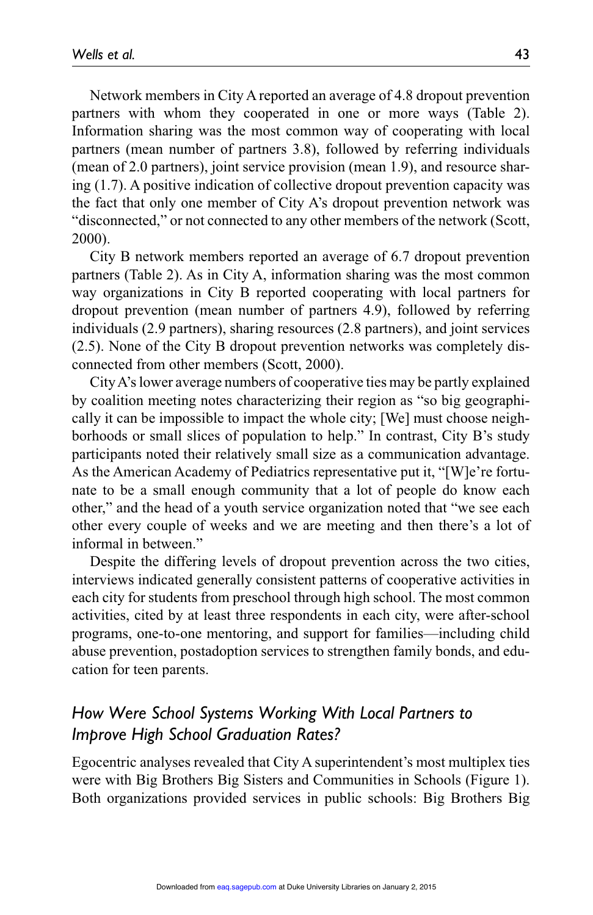Network members in City A reported an average of 4.8 dropout prevention partners with whom they cooperated in one or more ways (Table 2). Information sharing was the most common way of cooperating with local partners (mean number of partners 3.8), followed by referring individuals (mean of 2.0 partners), joint service provision (mean 1.9), and resource sharing (1.7). A positive indication of collective dropout prevention capacity was the fact that only one member of City A's dropout prevention network was "disconnected," or not connected to any other members of the network (Scott, 2000).

City B network members reported an average of 6.7 dropout prevention partners (Table 2). As in City A, information sharing was the most common way organizations in City B reported cooperating with local partners for dropout prevention (mean number of partners 4.9), followed by referring individuals (2.9 partners), sharing resources (2.8 partners), and joint services (2.5). None of the City B dropout prevention networks was completely disconnected from other members (Scott, 2000).

City A's lower average numbers of cooperative ties may be partly explained by coalition meeting notes characterizing their region as "so big geographically it can be impossible to impact the whole city; [We] must choose neighborhoods or small slices of population to help." In contrast, City B's study participants noted their relatively small size as a communication advantage. As the American Academy of Pediatrics representative put it, "[W]e're fortunate to be a small enough community that a lot of people do know each other," and the head of a youth service organization noted that "we see each other every couple of weeks and we are meeting and then there's a lot of informal in between."

Despite the differing levels of dropout prevention across the two cities, interviews indicated generally consistent patterns of cooperative activities in each city for students from preschool through high school. The most common activities, cited by at least three respondents in each city, were after-school programs, one-to-one mentoring, and support for families—including child abuse prevention, postadoption services to strengthen family bonds, and education for teen parents.

# *How Were School Systems Working With Local Partners to Improve High School Graduation Rates?*

Egocentric analyses revealed that City A superintendent's most multiplex ties were with Big Brothers Big Sisters and Communities in Schools (Figure 1). Both organizations provided services in public schools: Big Brothers Big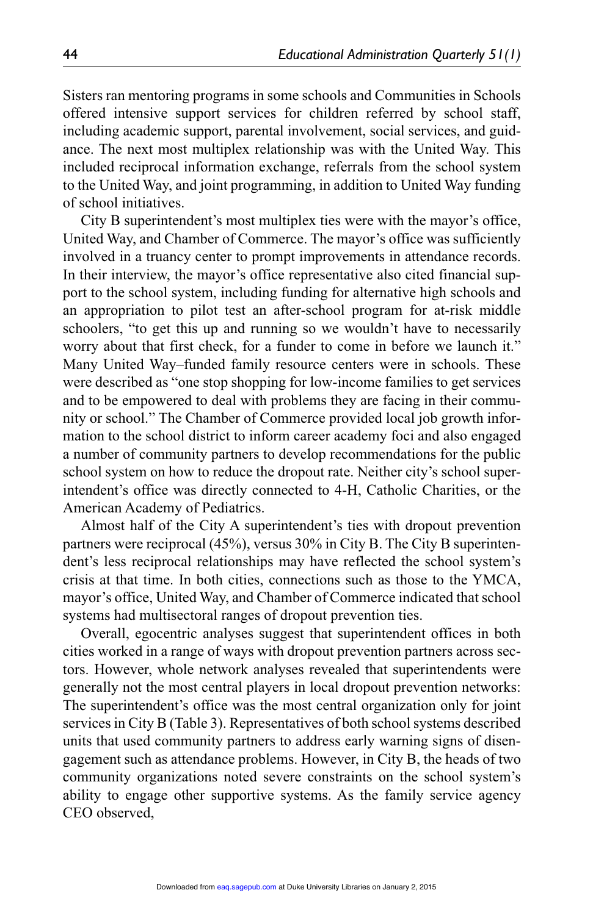Sisters ran mentoring programs in some schools and Communities in Schools offered intensive support services for children referred by school staff, including academic support, parental involvement, social services, and guidance. The next most multiplex relationship was with the United Way. This included reciprocal information exchange, referrals from the school system to the United Way, and joint programming, in addition to United Way funding of school initiatives.

City B superintendent's most multiplex ties were with the mayor's office, United Way, and Chamber of Commerce. The mayor's office was sufficiently involved in a truancy center to prompt improvements in attendance records. In their interview, the mayor's office representative also cited financial support to the school system, including funding for alternative high schools and an appropriation to pilot test an after-school program for at-risk middle schoolers, "to get this up and running so we wouldn't have to necessarily worry about that first check, for a funder to come in before we launch it." Many United Way–funded family resource centers were in schools. These were described as "one stop shopping for low-income families to get services and to be empowered to deal with problems they are facing in their community or school." The Chamber of Commerce provided local job growth information to the school district to inform career academy foci and also engaged a number of community partners to develop recommendations for the public school system on how to reduce the dropout rate. Neither city's school superintendent's office was directly connected to 4-H, Catholic Charities, or the American Academy of Pediatrics.

Almost half of the City A superintendent's ties with dropout prevention partners were reciprocal (45%), versus 30% in City B. The City B superintendent's less reciprocal relationships may have reflected the school system's crisis at that time. In both cities, connections such as those to the YMCA, mayor's office, United Way, and Chamber of Commerce indicated that school systems had multisectoral ranges of dropout prevention ties.

Overall, egocentric analyses suggest that superintendent offices in both cities worked in a range of ways with dropout prevention partners across sectors. However, whole network analyses revealed that superintendents were generally not the most central players in local dropout prevention networks: The superintendent's office was the most central organization only for joint services in City B (Table 3). Representatives of both school systems described units that used community partners to address early warning signs of disengagement such as attendance problems. However, in City B, the heads of two community organizations noted severe constraints on the school system's ability to engage other supportive systems. As the family service agency CEO observed,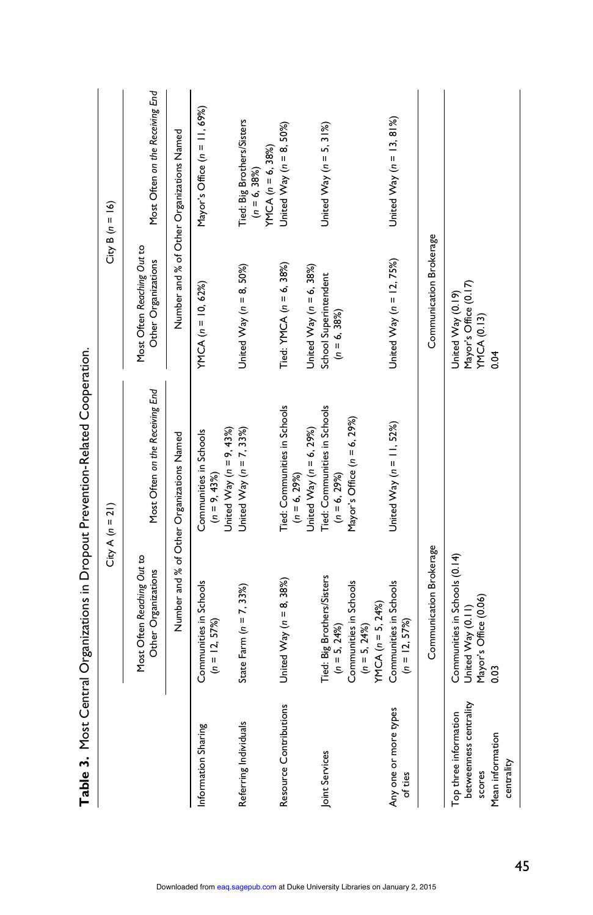| Most Often on the Receiving End<br>Tied: Communities in Schools<br>Tied: Communities in Schools<br>Mayor's Office (n = 6, 29%)<br>United Way $(n = 11, 52%)$<br>United Way $(n = 7, 33\%)$<br>United Way ( $n = 9$ , 43%)<br>United Way ( $n = 6$ , 29%)<br>Communities in Schools<br>Number and % of Other Organizations Named<br>$(n = 9, 43%)$<br>$(n = 6, 29%)$<br>$(n = 6, 29%)$<br>$City A (n = 21)$<br>Communication Brokerage<br>Communities in Schools (0.14)<br>Most Often Reaching Out to<br>Other Organizations<br>Tied: Big Brothers/Sisters<br>United Way ( $n = 8$ , 38%)<br>Communities in Schools<br>Communities in Schools<br>Communities in Schools<br>State Farm $(n = 7, 33\%)$<br>Mayor's Office (0.06)<br>YMCA $(n = 5, 24%)$<br>Jnited Way (0.11)<br>$(n = 12, 57\%)$<br>$(n = 12, 57%)$<br>$(n = 5, 24%)$<br>$(n = 5, 24%)$<br>ó |
|-----------------------------------------------------------------------------------------------------------------------------------------------------------------------------------------------------------------------------------------------------------------------------------------------------------------------------------------------------------------------------------------------------------------------------------------------------------------------------------------------------------------------------------------------------------------------------------------------------------------------------------------------------------------------------------------------------------------------------------------------------------------------------------------------------------------------------------------------------------|
|                                                                                                                                                                                                                                                                                                                                                                                                                                                                                                                                                                                                                                                                                                                                                                                                                                                           |

Table 3. Most Central Organizations in Dropout Prevention-Related Cooperation. **Table 3.** Most Central Organizations in Dropout Prevention-Related Cooperation. j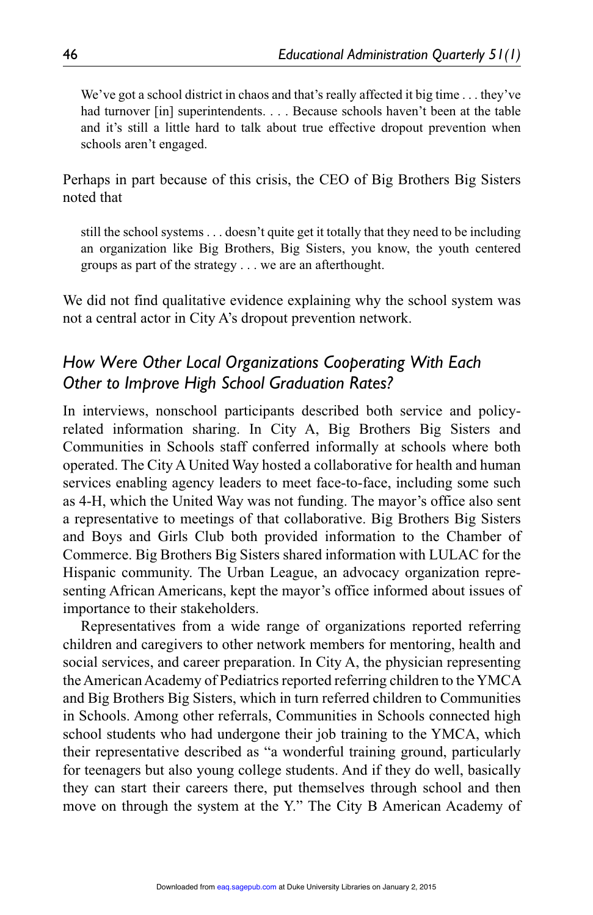We've got a school district in chaos and that's really affected it big time . . . they've had turnover [in] superintendents. . . . Because schools haven't been at the table and it's still a little hard to talk about true effective dropout prevention when schools aren't engaged.

Perhaps in part because of this crisis, the CEO of Big Brothers Big Sisters noted that

still the school systems . . . doesn't quite get it totally that they need to be including an organization like Big Brothers, Big Sisters, you know, the youth centered groups as part of the strategy . . . we are an afterthought.

We did not find qualitative evidence explaining why the school system was not a central actor in City A's dropout prevention network.

# *How Were Other Local Organizations Cooperating With Each Other to Improve High School Graduation Rates?*

In interviews, nonschool participants described both service and policyrelated information sharing. In City A, Big Brothers Big Sisters and Communities in Schools staff conferred informally at schools where both operated. The City A United Way hosted a collaborative for health and human services enabling agency leaders to meet face-to-face, including some such as 4-H, which the United Way was not funding. The mayor's office also sent a representative to meetings of that collaborative. Big Brothers Big Sisters and Boys and Girls Club both provided information to the Chamber of Commerce. Big Brothers Big Sisters shared information with LULAC for the Hispanic community. The Urban League, an advocacy organization representing African Americans, kept the mayor's office informed about issues of importance to their stakeholders.

Representatives from a wide range of organizations reported referring children and caregivers to other network members for mentoring, health and social services, and career preparation. In City A, the physician representing the American Academy of Pediatrics reported referring children to the YMCA and Big Brothers Big Sisters, which in turn referred children to Communities in Schools. Among other referrals, Communities in Schools connected high school students who had undergone their job training to the YMCA, which their representative described as "a wonderful training ground, particularly for teenagers but also young college students. And if they do well, basically they can start their careers there, put themselves through school and then move on through the system at the Y." The City B American Academy of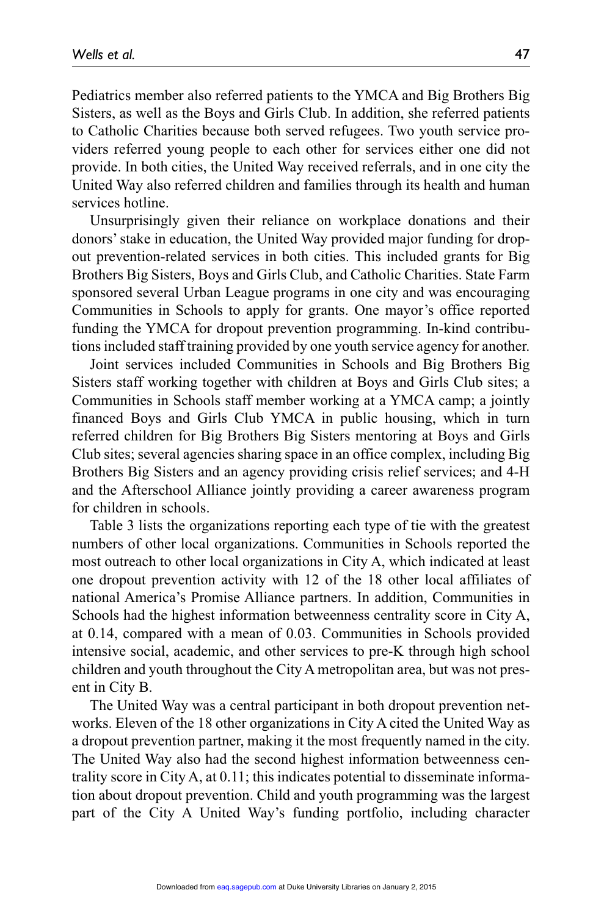Pediatrics member also referred patients to the YMCA and Big Brothers Big Sisters, as well as the Boys and Girls Club. In addition, she referred patients to Catholic Charities because both served refugees. Two youth service providers referred young people to each other for services either one did not provide. In both cities, the United Way received referrals, and in one city the United Way also referred children and families through its health and human services hotline.

Unsurprisingly given their reliance on workplace donations and their donors' stake in education, the United Way provided major funding for dropout prevention-related services in both cities. This included grants for Big Brothers Big Sisters, Boys and Girls Club, and Catholic Charities. State Farm sponsored several Urban League programs in one city and was encouraging Communities in Schools to apply for grants. One mayor's office reported funding the YMCA for dropout prevention programming. In-kind contributions included staff training provided by one youth service agency for another.

Joint services included Communities in Schools and Big Brothers Big Sisters staff working together with children at Boys and Girls Club sites; a Communities in Schools staff member working at a YMCA camp; a jointly financed Boys and Girls Club YMCA in public housing, which in turn referred children for Big Brothers Big Sisters mentoring at Boys and Girls Club sites; several agencies sharing space in an office complex, including Big Brothers Big Sisters and an agency providing crisis relief services; and 4-H and the Afterschool Alliance jointly providing a career awareness program for children in schools.

Table 3 lists the organizations reporting each type of tie with the greatest numbers of other local organizations. Communities in Schools reported the most outreach to other local organizations in City A, which indicated at least one dropout prevention activity with 12 of the 18 other local affiliates of national America's Promise Alliance partners. In addition, Communities in Schools had the highest information betweenness centrality score in City A, at 0.14, compared with a mean of 0.03. Communities in Schools provided intensive social, academic, and other services to pre-K through high school children and youth throughout the City A metropolitan area, but was not present in City B.

The United Way was a central participant in both dropout prevention networks. Eleven of the 18 other organizations in City A cited the United Way as a dropout prevention partner, making it the most frequently named in the city. The United Way also had the second highest information betweenness centrality score in City A, at 0.11; this indicates potential to disseminate information about dropout prevention. Child and youth programming was the largest part of the City A United Way's funding portfolio, including character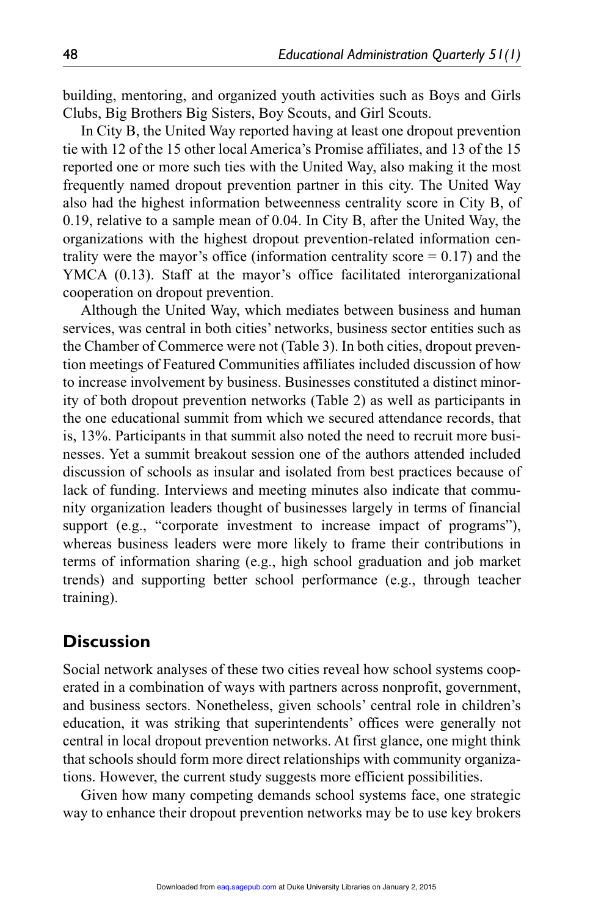building, mentoring, and organized youth activities such as Boys and Girls Clubs, Big Brothers Big Sisters, Boy Scouts, and Girl Scouts.

In City B, the United Way reported having at least one dropout prevention tie with 12 of the 15 other local America's Promise affiliates, and 13 of the 15 reported one or more such ties with the United Way, also making it the most frequently named dropout prevention partner in this city. The United Way also had the highest information betweenness centrality score in City B, of 0.19, relative to a sample mean of 0.04. In City B, after the United Way, the organizations with the highest dropout prevention-related information centrality were the mayor's office (information centrality score  $= 0.17$ ) and the YMCA (0.13). Staff at the mayor's office facilitated interorganizational cooperation on dropout prevention.

Although the United Way, which mediates between business and human services, was central in both cities' networks, business sector entities such as the Chamber of Commerce were not (Table 3). In both cities, dropout prevention meetings of Featured Communities affiliates included discussion of how to increase involvement by business. Businesses constituted a distinct minority of both dropout prevention networks (Table 2) as well as participants in the one educational summit from which we secured attendance records, that is, 13%. Participants in that summit also noted the need to recruit more businesses. Yet a summit breakout session one of the authors attended included discussion of schools as insular and isolated from best practices because of lack of funding. Interviews and meeting minutes also indicate that community organization leaders thought of businesses largely in terms of financial support (e.g., "corporate investment to increase impact of programs"), whereas business leaders were more likely to frame their contributions in terms of information sharing (e.g., high school graduation and job market trends) and supporting better school performance (e.g., through teacher training).

### **Discussion**

Social network analyses of these two cities reveal how school systems cooperated in a combination of ways with partners across nonprofit, government, and business sectors. Nonetheless, given schools' central role in children's education, it was striking that superintendents' offices were generally not central in local dropout prevention networks. At first glance, one might think that schools should form more direct relationships with community organizations. However, the current study suggests more efficient possibilities.

Given how many competing demands school systems face, one strategic way to enhance their dropout prevention networks may be to use key brokers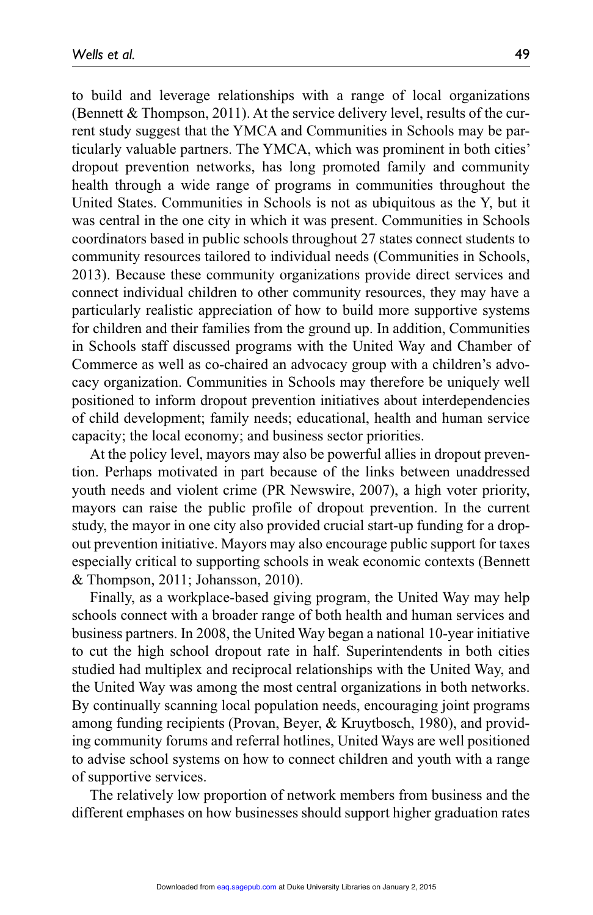to build and leverage relationships with a range of local organizations (Bennett & Thompson, 2011). At the service delivery level, results of the current study suggest that the YMCA and Communities in Schools may be particularly valuable partners. The YMCA, which was prominent in both cities' dropout prevention networks, has long promoted family and community health through a wide range of programs in communities throughout the United States. Communities in Schools is not as ubiquitous as the Y, but it was central in the one city in which it was present. Communities in Schools coordinators based in public schools throughout 27 states connect students to community resources tailored to individual needs (Communities in Schools, 2013). Because these community organizations provide direct services and connect individual children to other community resources, they may have a particularly realistic appreciation of how to build more supportive systems for children and their families from the ground up. In addition, Communities in Schools staff discussed programs with the United Way and Chamber of Commerce as well as co-chaired an advocacy group with a children's advocacy organization. Communities in Schools may therefore be uniquely well positioned to inform dropout prevention initiatives about interdependencies of child development; family needs; educational, health and human service capacity; the local economy; and business sector priorities.

At the policy level, mayors may also be powerful allies in dropout prevention. Perhaps motivated in part because of the links between unaddressed youth needs and violent crime (PR Newswire, 2007), a high voter priority, mayors can raise the public profile of dropout prevention. In the current study, the mayor in one city also provided crucial start-up funding for a dropout prevention initiative. Mayors may also encourage public support for taxes especially critical to supporting schools in weak economic contexts (Bennett & Thompson, 2011; Johansson, 2010).

Finally, as a workplace-based giving program, the United Way may help schools connect with a broader range of both health and human services and business partners. In 2008, the United Way began a national 10-year initiative to cut the high school dropout rate in half. Superintendents in both cities studied had multiplex and reciprocal relationships with the United Way, and the United Way was among the most central organizations in both networks. By continually scanning local population needs, encouraging joint programs among funding recipients (Provan, Beyer, & Kruytbosch, 1980), and providing community forums and referral hotlines, United Ways are well positioned to advise school systems on how to connect children and youth with a range of supportive services.

The relatively low proportion of network members from business and the different emphases on how businesses should support higher graduation rates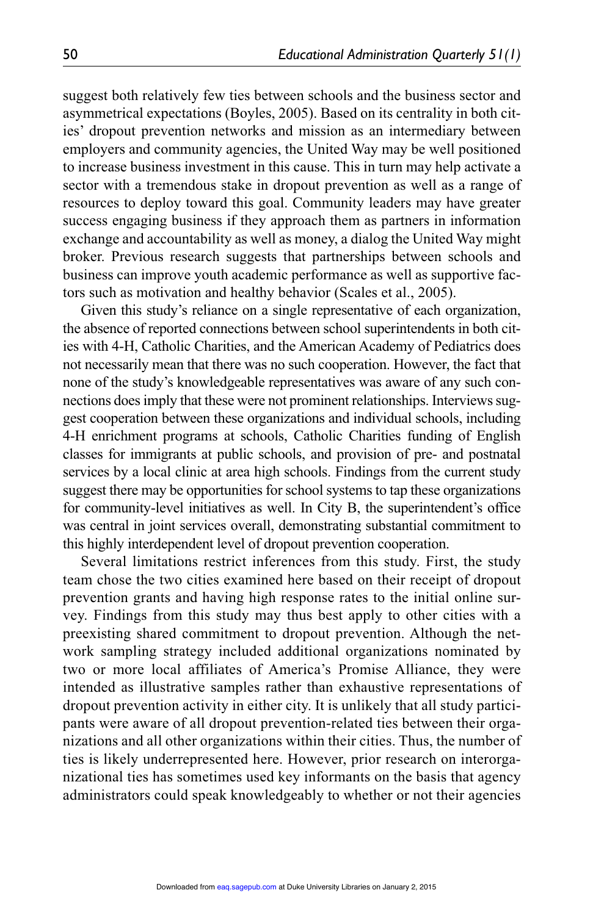suggest both relatively few ties between schools and the business sector and asymmetrical expectations (Boyles, 2005). Based on its centrality in both cities' dropout prevention networks and mission as an intermediary between employers and community agencies, the United Way may be well positioned to increase business investment in this cause. This in turn may help activate a sector with a tremendous stake in dropout prevention as well as a range of resources to deploy toward this goal. Community leaders may have greater success engaging business if they approach them as partners in information exchange and accountability as well as money, a dialog the United Way might broker. Previous research suggests that partnerships between schools and business can improve youth academic performance as well as supportive factors such as motivation and healthy behavior (Scales et al., 2005).

Given this study's reliance on a single representative of each organization, the absence of reported connections between school superintendents in both cities with 4-H, Catholic Charities, and the American Academy of Pediatrics does not necessarily mean that there was no such cooperation. However, the fact that none of the study's knowledgeable representatives was aware of any such connections does imply that these were not prominent relationships. Interviews suggest cooperation between these organizations and individual schools, including 4-H enrichment programs at schools, Catholic Charities funding of English classes for immigrants at public schools, and provision of pre- and postnatal services by a local clinic at area high schools. Findings from the current study suggest there may be opportunities for school systems to tap these organizations for community-level initiatives as well. In City B, the superintendent's office was central in joint services overall, demonstrating substantial commitment to this highly interdependent level of dropout prevention cooperation.

Several limitations restrict inferences from this study. First, the study team chose the two cities examined here based on their receipt of dropout prevention grants and having high response rates to the initial online survey. Findings from this study may thus best apply to other cities with a preexisting shared commitment to dropout prevention. Although the network sampling strategy included additional organizations nominated by two or more local affiliates of America's Promise Alliance, they were intended as illustrative samples rather than exhaustive representations of dropout prevention activity in either city. It is unlikely that all study participants were aware of all dropout prevention-related ties between their organizations and all other organizations within their cities. Thus, the number of ties is likely underrepresented here. However, prior research on interorganizational ties has sometimes used key informants on the basis that agency administrators could speak knowledgeably to whether or not their agencies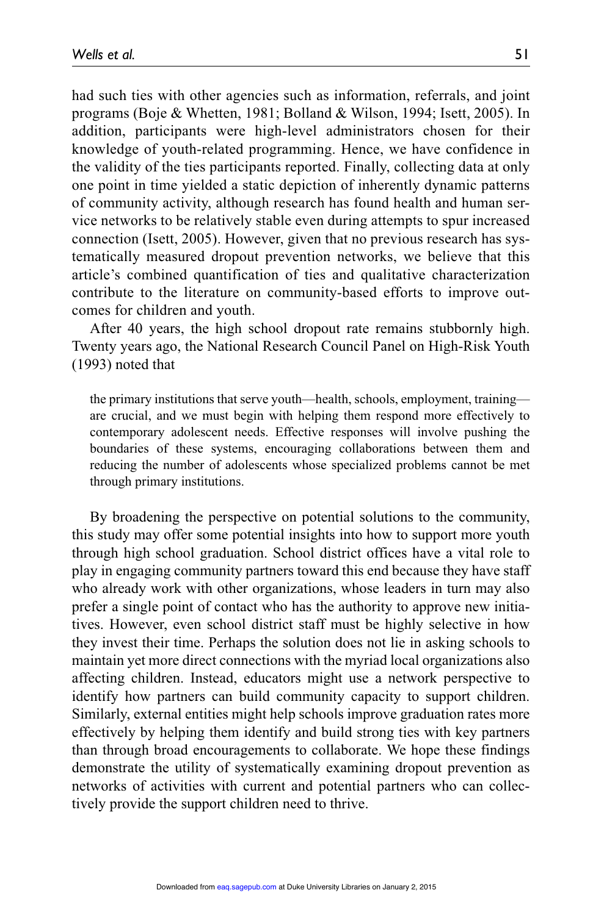had such ties with other agencies such as information, referrals, and joint programs (Boje & Whetten, 1981; Bolland & Wilson, 1994; Isett, 2005). In addition, participants were high-level administrators chosen for their knowledge of youth-related programming. Hence, we have confidence in the validity of the ties participants reported. Finally, collecting data at only one point in time yielded a static depiction of inherently dynamic patterns of community activity, although research has found health and human service networks to be relatively stable even during attempts to spur increased connection (Isett, 2005). However, given that no previous research has systematically measured dropout prevention networks, we believe that this article's combined quantification of ties and qualitative characterization contribute to the literature on community-based efforts to improve outcomes for children and youth.

After 40 years, the high school dropout rate remains stubbornly high. Twenty years ago, the National Research Council Panel on High-Risk Youth (1993) noted that

the primary institutions that serve youth—health, schools, employment, training are crucial, and we must begin with helping them respond more effectively to contemporary adolescent needs. Effective responses will involve pushing the boundaries of these systems, encouraging collaborations between them and reducing the number of adolescents whose specialized problems cannot be met through primary institutions.

By broadening the perspective on potential solutions to the community, this study may offer some potential insights into how to support more youth through high school graduation. School district offices have a vital role to play in engaging community partners toward this end because they have staff who already work with other organizations, whose leaders in turn may also prefer a single point of contact who has the authority to approve new initiatives. However, even school district staff must be highly selective in how they invest their time. Perhaps the solution does not lie in asking schools to maintain yet more direct connections with the myriad local organizations also affecting children. Instead, educators might use a network perspective to identify how partners can build community capacity to support children. Similarly, external entities might help schools improve graduation rates more effectively by helping them identify and build strong ties with key partners than through broad encouragements to collaborate. We hope these findings demonstrate the utility of systematically examining dropout prevention as networks of activities with current and potential partners who can collectively provide the support children need to thrive.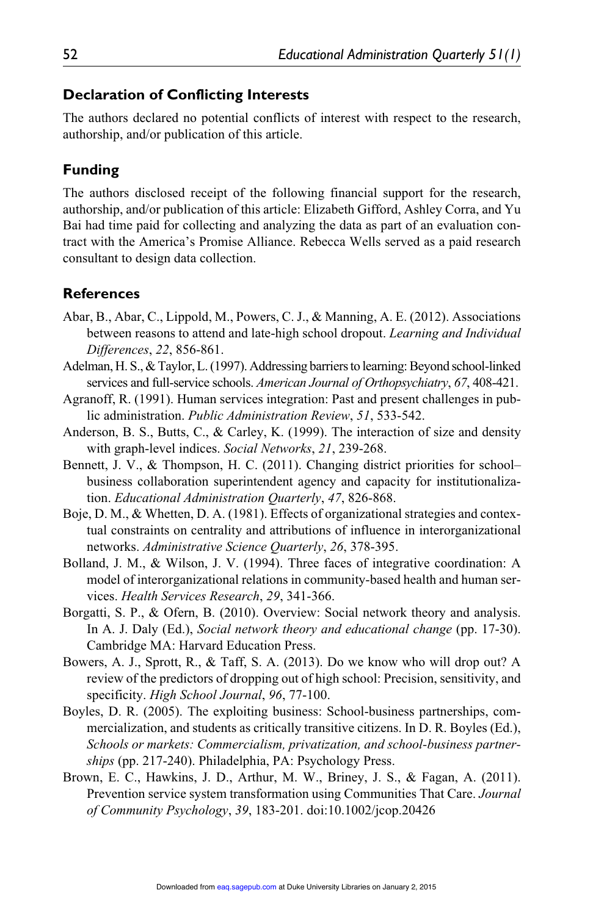#### **Declaration of Conflicting Interests**

The authors declared no potential conflicts of interest with respect to the research, authorship, and/or publication of this article.

### **Funding**

The authors disclosed receipt of the following financial support for the research, authorship, and/or publication of this article: Elizabeth Gifford, Ashley Corra, and Yu Bai had time paid for collecting and analyzing the data as part of an evaluation contract with the America's Promise Alliance. Rebecca Wells served as a paid research consultant to design data collection.

#### **References**

- Abar, B., Abar, C., Lippold, M., Powers, C. J., & Manning, A. E. (2012). Associations between reasons to attend and late-high school dropout. *Learning and Individual Differences*, *22*, 856-861.
- Adelman, H. S., & Taylor, L. (1997). Addressing barriers to learning: Beyond school-linked services and full-service schools. *American Journal of Orthopsychiatry*, *67*, 408-421.
- Agranoff, R. (1991). Human services integration: Past and present challenges in public administration. *Public Administration Review*, *51*, 533-542.
- Anderson, B. S., Butts, C., & Carley, K. (1999). The interaction of size and density with graph-level indices. *Social Networks*, *21*, 239-268.
- Bennett, J. V., & Thompson, H. C. (2011). Changing district priorities for school– business collaboration superintendent agency and capacity for institutionalization. *Educational Administration Quarterly*, *47*, 826-868.
- Boje, D. M., & Whetten, D. A. (1981). Effects of organizational strategies and contextual constraints on centrality and attributions of influence in interorganizational networks. *Administrative Science Quarterly*, *26*, 378-395.
- Bolland, J. M., & Wilson, J. V. (1994). Three faces of integrative coordination: A model of interorganizational relations in community-based health and human services. *Health Services Research*, *29*, 341-366.
- Borgatti, S. P., & Ofern, B. (2010). Overview: Social network theory and analysis. In A. J. Daly (Ed.), *Social network theory and educational change* (pp. 17-30). Cambridge MA: Harvard Education Press.
- Bowers, A. J., Sprott, R., & Taff, S. A. (2013). Do we know who will drop out? A review of the predictors of dropping out of high school: Precision, sensitivity, and specificity. *High School Journal*, *96*, 77-100.
- Boyles, D. R. (2005). The exploiting business: School-business partnerships, commercialization, and students as critically transitive citizens. In D. R. Boyles (Ed.), *Schools or markets: Commercialism, privatization, and school-business partnerships* (pp. 217-240). Philadelphia, PA: Psychology Press.
- Brown, E. C., Hawkins, J. D., Arthur, M. W., Briney, J. S., & Fagan, A. (2011). Prevention service system transformation using Communities That Care. *Journal of Community Psychology*, *39*, 183-201. doi:10.1002/jcop.20426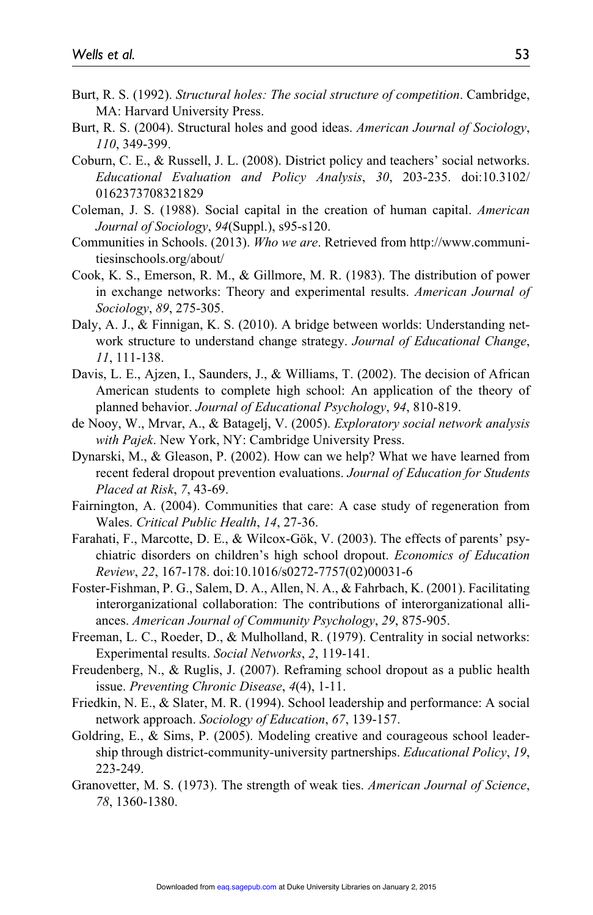- Burt, R. S. (1992). *Structural holes: The social structure of competition*. Cambridge, MA: Harvard University Press.
- Burt, R. S. (2004). Structural holes and good ideas. *American Journal of Sociology*, *110*, 349-399.
- Coburn, C. E., & Russell, J. L. (2008). District policy and teachers' social networks. *Educational Evaluation and Policy Analysis*, *30*, 203-235. doi:10.3102/ 0162373708321829
- Coleman, J. S. (1988). Social capital in the creation of human capital. *American Journal of Sociology*, *94*(Suppl.), s95-s120.
- Communities in Schools. (2013). *Who we are*. Retrieved from [http://www.communi](http://www.communitiesinschools.org/about/)[tiesinschools.org/about/](http://www.communitiesinschools.org/about/)
- Cook, K. S., Emerson, R. M., & Gillmore, M. R. (1983). The distribution of power in exchange networks: Theory and experimental results. *American Journal of Sociology*, *89*, 275-305.
- Daly, A. J., & Finnigan, K. S. (2010). A bridge between worlds: Understanding network structure to understand change strategy. *Journal of Educational Change*, *11*, 111-138.
- Davis, L. E., Ajzen, I., Saunders, J., & Williams, T. (2002). The decision of African American students to complete high school: An application of the theory of planned behavior. *Journal of Educational Psychology*, *94*, 810-819.
- de Nooy, W., Mrvar, A., & Batagelj, V. (2005). *Exploratory social network analysis with Pajek*. New York, NY: Cambridge University Press.
- Dynarski, M., & Gleason, P. (2002). How can we help? What we have learned from recent federal dropout prevention evaluations. *Journal of Education for Students Placed at Risk*, *7*, 43-69.
- Fairnington, A. (2004). Communities that care: A case study of regeneration from Wales. *Critical Public Health*, *14*, 27-36.
- Farahati, F., Marcotte, D. E., & Wilcox-Gök, V. (2003). The effects of parents' psychiatric disorders on children's high school dropout. *Economics of Education Review*, *22*, 167-178. doi:10.1016/s0272-7757(02)00031-6
- Foster-Fishman, P. G., Salem, D. A., Allen, N. A., & Fahrbach, K. (2001). Facilitating interorganizational collaboration: The contributions of interorganizational alliances. *American Journal of Community Psychology*, *29*, 875-905.
- Freeman, L. C., Roeder, D., & Mulholland, R. (1979). Centrality in social networks: Experimental results. *Social Networks*, *2*, 119-141.
- Freudenberg, N., & Ruglis, J. (2007). Reframing school dropout as a public health issue. *Preventing Chronic Disease*, *4*(4), 1-11.
- Friedkin, N. E., & Slater, M. R. (1994). School leadership and performance: A social network approach. *Sociology of Education*, *67*, 139-157.
- Goldring, E., & Sims, P. (2005). Modeling creative and courageous school leadership through district-community-university partnerships. *Educational Policy*, *19*, 223-249.
- Granovetter, M. S. (1973). The strength of weak ties. *American Journal of Science*, *78*, 1360-1380.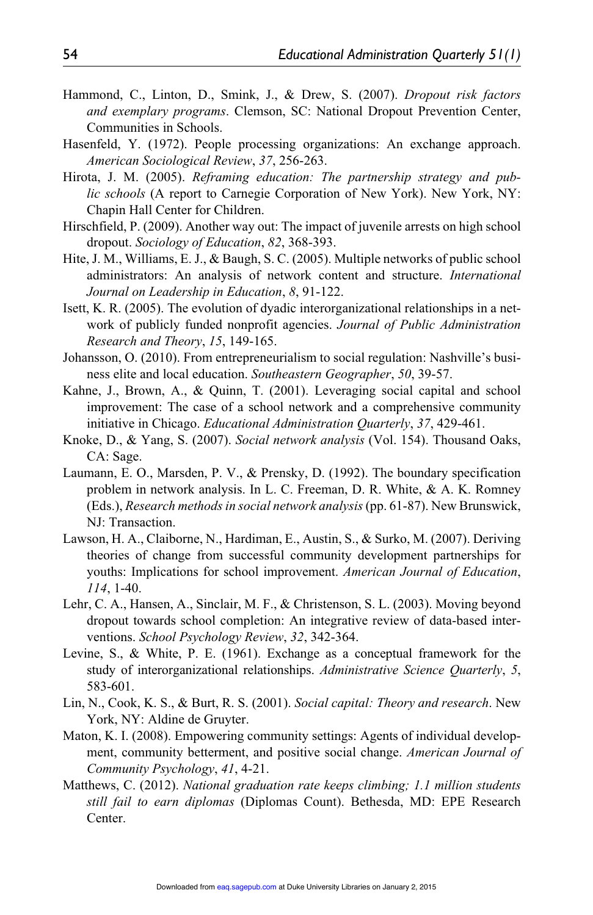- Hammond, C., Linton, D., Smink, J., & Drew, S. (2007). *Dropout risk factors and exemplary programs*. Clemson, SC: National Dropout Prevention Center, Communities in Schools.
- Hasenfeld, Y. (1972). People processing organizations: An exchange approach. *American Sociological Review*, *37*, 256-263.
- Hirota, J. M. (2005). *Reframing education: The partnership strategy and public schools* (A report to Carnegie Corporation of New York). New York, NY: Chapin Hall Center for Children.
- Hirschfield, P. (2009). Another way out: The impact of juvenile arrests on high school dropout. *Sociology of Education*, *82*, 368-393.
- Hite, J. M., Williams, E. J., & Baugh, S. C. (2005). Multiple networks of public school administrators: An analysis of network content and structure. *International Journal on Leadership in Education*, *8*, 91-122.
- Isett, K. R. (2005). The evolution of dyadic interorganizational relationships in a network of publicly funded nonprofit agencies. *Journal of Public Administration Research and Theory*, *15*, 149-165.
- Johansson, O. (2010). From entrepreneurialism to social regulation: Nashville's business elite and local education. *Southeastern Geographer*, *50*, 39-57.
- Kahne, J., Brown, A., & Quinn, T. (2001). Leveraging social capital and school improvement: The case of a school network and a comprehensive community initiative in Chicago. *Educational Administration Quarterly*, *37*, 429-461.
- Knoke, D., & Yang, S. (2007). *Social network analysis* (Vol. 154). Thousand Oaks, CA: Sage.
- Laumann, E. O., Marsden, P. V., & Prensky, D. (1992). The boundary specification problem in network analysis. In L. C. Freeman, D. R. White, & A. K. Romney (Eds.), *Research methods in social network analysis* (pp. 61-87). New Brunswick, NJ: Transaction.
- Lawson, H. A., Claiborne, N., Hardiman, E., Austin, S., & Surko, M. (2007). Deriving theories of change from successful community development partnerships for youths: Implications for school improvement. *American Journal of Education*, *114*, 1-40.
- Lehr, C. A., Hansen, A., Sinclair, M. F., & Christenson, S. L. (2003). Moving beyond dropout towards school completion: An integrative review of data-based interventions. *School Psychology Review*, *32*, 342-364.
- Levine, S., & White, P. E. (1961). Exchange as a conceptual framework for the study of interorganizational relationships. *Administrative Science Quarterly*, *5*, 583-601.
- Lin, N., Cook, K. S., & Burt, R. S. (2001). *Social capital: Theory and research*. New York, NY: Aldine de Gruyter.
- Maton, K. I. (2008). Empowering community settings: Agents of individual development, community betterment, and positive social change. *American Journal of Community Psychology*, *41*, 4-21.
- Matthews, C. (2012). *National graduation rate keeps climbing; 1.1 million students still fail to earn diplomas* (Diplomas Count). Bethesda, MD: EPE Research Center.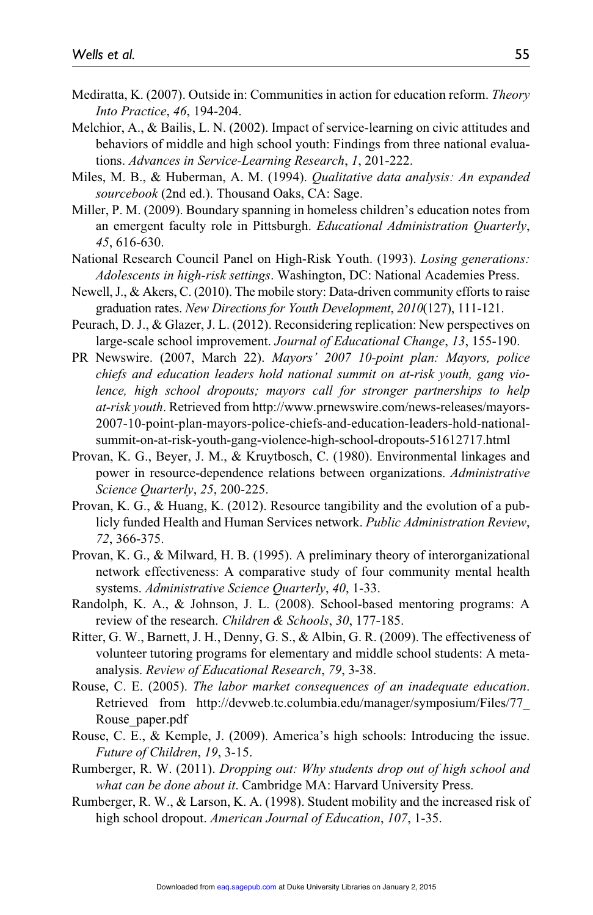- Mediratta, K. (2007). Outside in: Communities in action for education reform. *Theory Into Practice*, *46*, 194-204.
- Melchior, A., & Bailis, L. N. (2002). Impact of service-learning on civic attitudes and behaviors of middle and high school youth: Findings from three national evaluations. *Advances in Service-Learning Research*, *1*, 201-222.
- Miles, M. B., & Huberman, A. M. (1994). *Qualitative data analysis: An expanded sourcebook* (2nd ed.). Thousand Oaks, CA: Sage.
- Miller, P. M. (2009). Boundary spanning in homeless children's education notes from an emergent faculty role in Pittsburgh. *Educational Administration Quarterly*, *45*, 616-630.
- National Research Council Panel on High-Risk Youth. (1993). *Losing generations: Adolescents in high-risk settings*. Washington, DC: National Academies Press.
- Newell, J., & Akers, C. (2010). The mobile story: Data-driven community efforts to raise graduation rates. *New Directions for Youth Development*, *2010*(127), 111-121.
- Peurach, D. J., & Glazer, J. L. (2012). Reconsidering replication: New perspectives on large-scale school improvement. *Journal of Educational Change*, *13*, 155-190.
- PR Newswire. (2007, March 22). *Mayors' 2007 10-point plan: Mayors, police chiefs and education leaders hold national summit on at-risk youth, gang violence, high school dropouts; mayors call for stronger partnerships to help at-risk youth*. Retrieved from [http://www.prnewswire.com/news-releases/mayors-](http://www.prnewswire.com/news-releases/mayors-2007-10-point-plan-mayors-police-chiefs-and-education-leaders-hold-national-summit-on-at-risk-youth-gang-violence-high-school-dropouts-51612717.html)[2007-10-point-plan-mayors-police-chiefs-and-education-leaders-hold-national](http://www.prnewswire.com/news-releases/mayors-2007-10-point-plan-mayors-police-chiefs-and-education-leaders-hold-national-summit-on-at-risk-youth-gang-violence-high-school-dropouts-51612717.html)[summit-on-at-risk-youth-gang-violence-high-school-dropouts-51612717.html](http://www.prnewswire.com/news-releases/mayors-2007-10-point-plan-mayors-police-chiefs-and-education-leaders-hold-national-summit-on-at-risk-youth-gang-violence-high-school-dropouts-51612717.html)
- Provan, K. G., Beyer, J. M., & Kruytbosch, C. (1980). Environmental linkages and power in resource-dependence relations between organizations. *Administrative Science Quarterly*, *25*, 200-225.
- Provan, K. G., & Huang, K. (2012). Resource tangibility and the evolution of a publicly funded Health and Human Services network. *Public Administration Review*, *72*, 366-375.
- Provan, K. G., & Milward, H. B. (1995). A preliminary theory of interorganizational network effectiveness: A comparative study of four community mental health systems. *Administrative Science Quarterly*, *40*, 1-33.
- Randolph, K. A., & Johnson, J. L. (2008). School-based mentoring programs: A review of the research. *Children & Schools*, *30*, 177-185.
- Ritter, G. W., Barnett, J. H., Denny, G. S., & Albin, G. R. (2009). The effectiveness of volunteer tutoring programs for elementary and middle school students: A metaanalysis. *Review of Educational Research*, *79*, 3-38.
- Rouse, C. E. (2005). *The labor market consequences of an inadequate education*. Retrieved from [http://devweb.tc.columbia.edu/manager/symposium/Files/77\\_](http://devweb.tc.columbia.edu/manager/symposium/Files/77_Rouse_paper.pdf) [Rouse\\_paper.pdf](http://devweb.tc.columbia.edu/manager/symposium/Files/77_Rouse_paper.pdf)
- Rouse, C. E., & Kemple, J. (2009). America's high schools: Introducing the issue. *Future of Children*, *19*, 3-15.
- Rumberger, R. W. (2011). *Dropping out: Why students drop out of high school and what can be done about it*. Cambridge MA: Harvard University Press.
- Rumberger, R. W., & Larson, K. A. (1998). Student mobility and the increased risk of high school dropout. *American Journal of Education*, *107*, 1-35.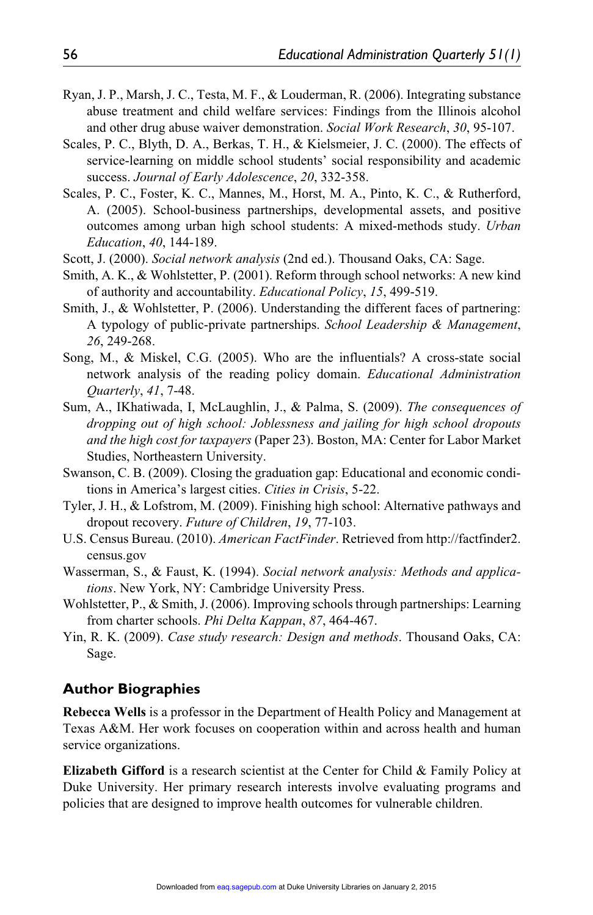- Ryan, J. P., Marsh, J. C., Testa, M. F., & Louderman, R. (2006). Integrating substance abuse treatment and child welfare services: Findings from the Illinois alcohol and other drug abuse waiver demonstration. *Social Work Research*, *30*, 95-107.
- Scales, P. C., Blyth, D. A., Berkas, T. H., & Kielsmeier, J. C. (2000). The effects of service-learning on middle school students' social responsibility and academic success. *Journal of Early Adolescence*, *20*, 332-358.
- Scales, P. C., Foster, K. C., Mannes, M., Horst, M. A., Pinto, K. C., & Rutherford, A. (2005). School-business partnerships, developmental assets, and positive outcomes among urban high school students: A mixed-methods study. *Urban Education*, *40*, 144-189.
- Scott, J. (2000). *Social network analysis* (2nd ed.). Thousand Oaks, CA: Sage.
- Smith, A. K., & Wohlstetter, P. (2001). Reform through school networks: A new kind of authority and accountability. *Educational Policy*, *15*, 499-519.
- Smith, J., & Wohlstetter, P. (2006). Understanding the different faces of partnering: A typology of public-private partnerships. *School Leadership & Management*, *26*, 249-268.
- Song, M., & Miskel, C.G. (2005). Who are the influentials? A cross-state social network analysis of the reading policy domain. *Educational Administration Quarterly*, *41*, 7-48.
- Sum, A., IKhatiwada, I, McLaughlin, J., & Palma, S. (2009). *The consequences of dropping out of high school: Joblessness and jailing for high school dropouts and the high cost for taxpayers* (Paper 23). Boston, MA: Center for Labor Market Studies, Northeastern University.
- Swanson, C. B. (2009). Closing the graduation gap: Educational and economic conditions in America's largest cities. *Cities in Crisis*, 5-22.
- Tyler, J. H., & Lofstrom, M. (2009). Finishing high school: Alternative pathways and dropout recovery. *Future of Children*, *19*, 77-103.
- U.S. Census Bureau. (2010). *American FactFinder*. Retrieved from [http://factfinder2.](http://factfinder2.census.gov) [census.gov](http://factfinder2.census.gov)
- Wasserman, S., & Faust, K. (1994). *Social network analysis: Methods and applications*. New York, NY: Cambridge University Press.
- Wohlstetter, P., & Smith, J. (2006). Improving schools through partnerships: Learning from charter schools. *Phi Delta Kappan*, *87*, 464-467.
- Yin, R. K. (2009). *Case study research: Design and methods*. Thousand Oaks, CA: Sage.

### **Author Biographies**

**Rebecca Wells** is a professor in the Department of Health Policy and Management at Texas A&M. Her work focuses on cooperation within and across health and human service organizations.

**Elizabeth Gifford** is a research scientist at the Center for Child & Family Policy at Duke University. Her primary research interests involve evaluating programs and policies that are designed to improve health outcomes for vulnerable children.